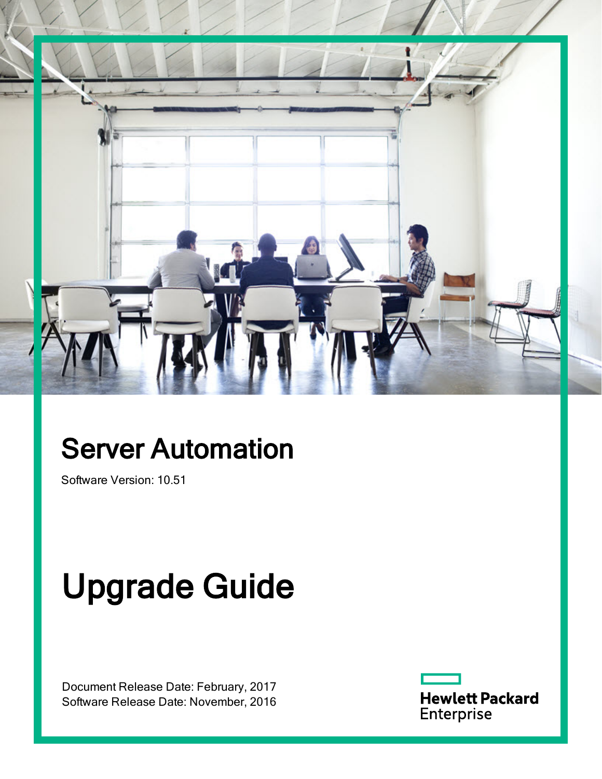

## Server Automation

Software Version: 10.51

# Upgrade Guide

Document Release Date: February, 2017 Software Release Date: November, 2016 **Hewlett Packard** Enterprise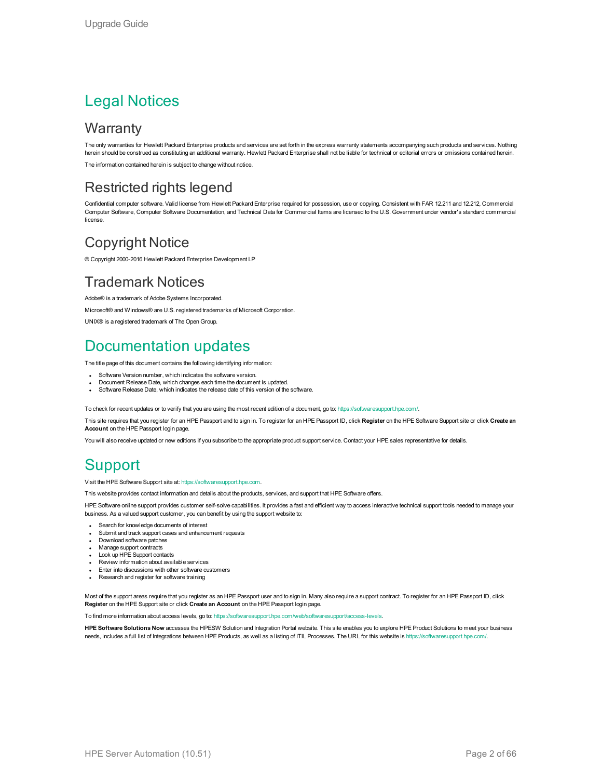### Legal Notices

### **Warranty**

The only warranties for Hewlett Packard Enterprise products and services are set forth in the express warranty statements accompanying such products and services. Nothing herein should be construed as constituting an additional warranty. Hewlett Packard Enterprise shall not be liable for technical or editorial errors or omissions contained herein.

The information contained herein is subject to change without notice.

### Restricted rights legend

Confidential computer software. Valid license from Hewlett Packard Enterprise required for possession, use or copying. Consistent with FAR 12.211 and 12.212, Commercial Computer Software, Computer Software Documentation, and Technical Data for Commercial Items are licensed to the U.S. Government under vendor's standard commercial license.

### Copyright Notice

© Copyright 2000-2016 Hewlett Packard Enterprise Development LP

### Trademark Notices

Adobe® is a trademark of Adobe Systems Incorporated.

Microsoft® and Windows® are U.S. registered trademarks of Microsoft Corporation.

UNIX® is a registered trademark of The Open Group.

### Documentation updates

The title page of this document contains the following identifying information:

- Software Version number, which indicates the software version.
- Document Release Date, which changes each time the document is updated.
- Software Release Date, which indicates the release date of this version of the software.

To check for recent updates or to verify that you are using the most recent edition of a document, go to: <https://softwaresupport.hpe.com/>.

This site requires that you register for an HPE Passport and to sign in. To register for an HPE Passport ID, click **Register** on the HPE Software Support site or click **Create an Account** on the HPE Passport login page.

You will also receive updated or new editions if you subscribe to the appropriate product support service. Contact your HPE sales representative for details.

### **Support**

Visit the HPE Software Support site at: [https://softwaresupport.hpe.com.](https://softwaresupport.hpe.com/)

This website provides contact information and details about the products, services, and support that HPE Software offers.

HPE Software online support provides customer self-solve capabilities. It provides a fast and efficient way to access interactive technical support tools needed to manage your business. As a valued support customer, you can benefit by using the support website to:

- Search for knowledge documents of interest
- Submit and track support cases and enhancement requests
- Download software patches
- Manage support contracts - Look up HPE Support contacts
- <sup>l</sup> Review information about available services
- **Enter into discussions with other software customers**
- Research and register for software training

Most of the support areas require that you register as an HPE Passport user and to sign in. Many also require a support contract. To register for an HPE Passport ID, click **Register** on the HPE Support site or click **Create an Account** on the HPE Passport login page.

To find more information about access levels, go to: <https://softwaresupport.hpe.com/web/softwaresupport/access-levels>.

**HPE Software Solutions Now** accesses the HPESW Solution and Integration Portal website. This site enables you to explore HPE Product Solutions to meet your business needs, includes a full list of Integrations between HPE Products, as well as a listing of ITIL Processes. The URL for this website is <https://softwaresupport.hpe.com/>.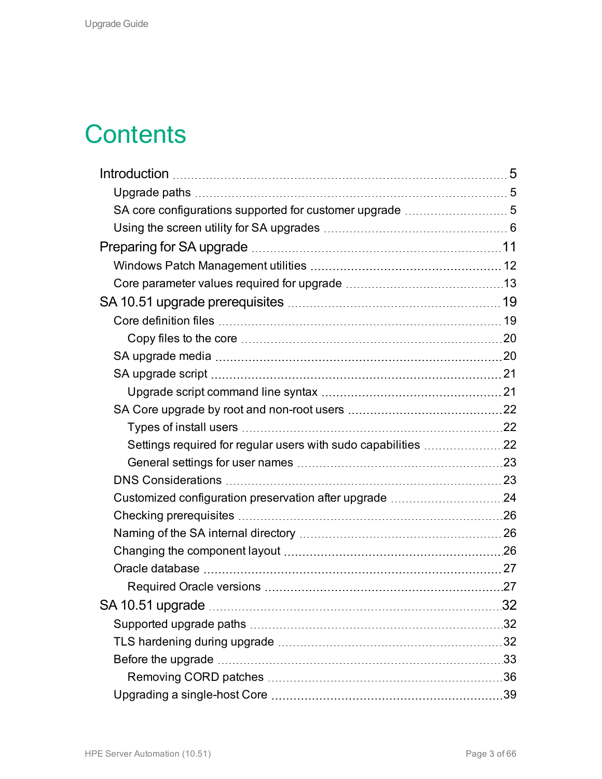### **Contents**

| Settings required for regular users with sudo capabilities 22 |  |
|---------------------------------------------------------------|--|
|                                                               |  |
|                                                               |  |
| Customized configuration preservation after upgrade 24        |  |
|                                                               |  |
|                                                               |  |
|                                                               |  |
|                                                               |  |
|                                                               |  |
|                                                               |  |
|                                                               |  |
|                                                               |  |
|                                                               |  |
|                                                               |  |
|                                                               |  |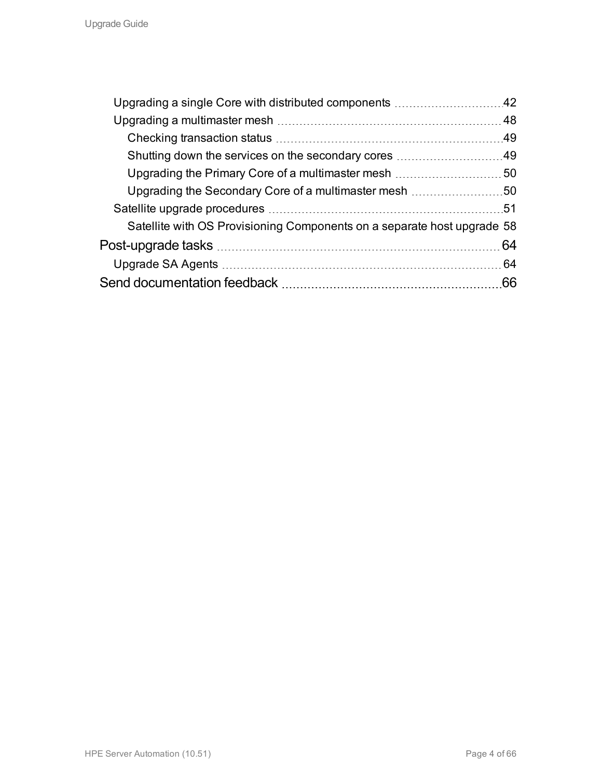| Upgrading a single Core with distributed components 42                  |     |
|-------------------------------------------------------------------------|-----|
|                                                                         |     |
|                                                                         |     |
| Shutting down the services on the secondary cores 49                    |     |
|                                                                         |     |
| Upgrading the Secondary Core of a multimaster mesh 50                   |     |
|                                                                         |     |
| Satellite with OS Provisioning Components on a separate host upgrade 58 |     |
|                                                                         |     |
|                                                                         |     |
|                                                                         | .66 |
|                                                                         |     |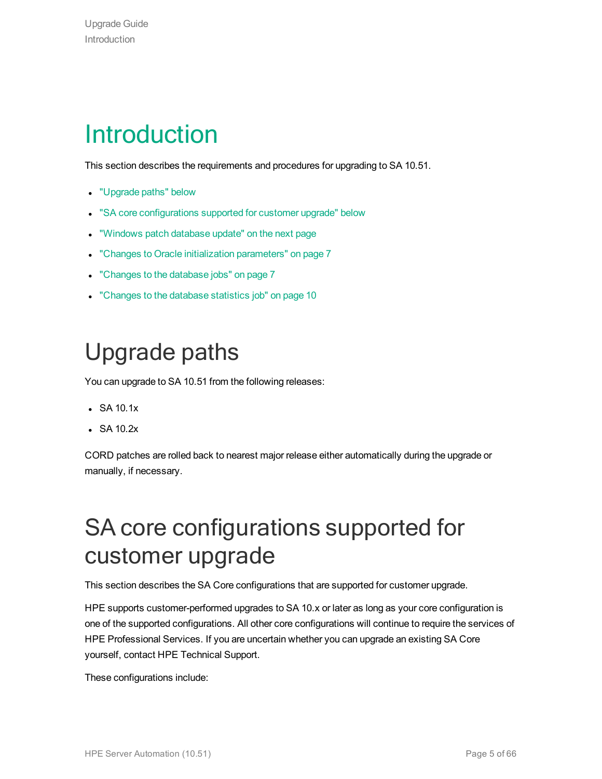### <span id="page-4-0"></span>Introduction

This section describes the requirements and procedures for upgrading to SA 10.51.

- ["Upgrade](#page-4-1) paths" below
- . "SA core [configurations](#page-4-2) supported for customer upgrade" below
- . ["Windows](#page-5-1) patch database update" on the next page
- "Changes to Oracle initialization [parameters"](#page-6-0) on page 7
- ["Changes](#page-6-1) to the database jobs" on page 7
- <span id="page-4-1"></span>• ["Changes](#page-9-0) to the database statistics job" on page 10

### Upgrade paths

You can upgrade to SA 10.51 from the following releases:

- $\cdot$  SA 10.1x
- $\bullet$  SA 10.2x

<span id="page-4-2"></span>CORD patches are rolled back to nearest major release either automatically during the upgrade or manually, if necessary.

### SA core configurations supported for customer upgrade

This section describes the SA Core configurations that are supported for customer upgrade.

HPE supports customer-performed upgrades to SA 10.x or later as long as your core configuration is one of the supported configurations. All other core configurations will continue to require the services of HPE Professional Services. If you are uncertain whether you can upgrade an existing SA Core yourself, contact HPE Technical Support.

These configurations include: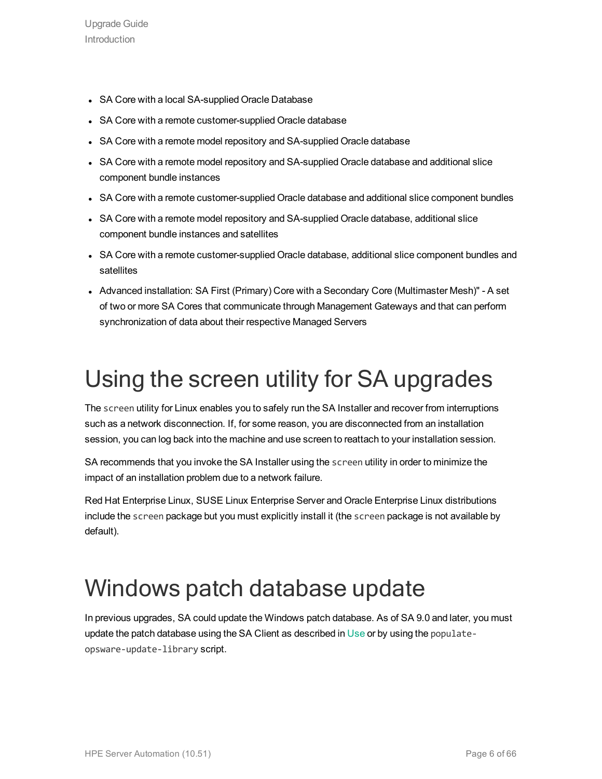- SA Core with a local SA-supplied Oracle Database
- SA Core with a remote customer-supplied Oracle database
- SA Core with a remote model repository and SA-supplied Oracle database
- SA Core with a remote model repository and SA-supplied Oracle database and additional slice component bundle instances
- SA Core with a remote customer-supplied Oracle database and additional slice component bundles
- SA Core with a remote model repository and SA-supplied Oracle database, additional slice component bundle instances and satellites
- SA Core with a remote customer-supplied Oracle database, additional slice component bundles and satellites
- Advanced installation: SA First (Primary) Core with a Secondary Core (Multimaster Mesh)" A set of two or more SA Cores that communicate through Management Gateways and that can perform synchronization of data about their respective Managed Servers

### <span id="page-5-0"></span>Using the screen utility for SA upgrades

The screen utility for Linux enables you to safely run the SA Installer and recover from interruptions such as a network disconnection. If, for some reason, you are disconnected from an installation session, you can log back into the machine and use screen to reattach to your installation session.

SA recommends that you invoke the SA Installer using the screen utility in order to minimize the impact of an installation problem due to a network failure.

Red Hat Enterprise Linux, SUSE Linux Enterprise Server and Oracle Enterprise Linux distributions include the screen package but you must explicitly install it (the screen package is not available by default).

### <span id="page-5-1"></span>Windows patch database update

In previous upgrades, SA could update the Windows patch database. As of SA 9.0 and later, you must update the patch database using the SA Client as described in Use or by using the populateopsware-update-library script.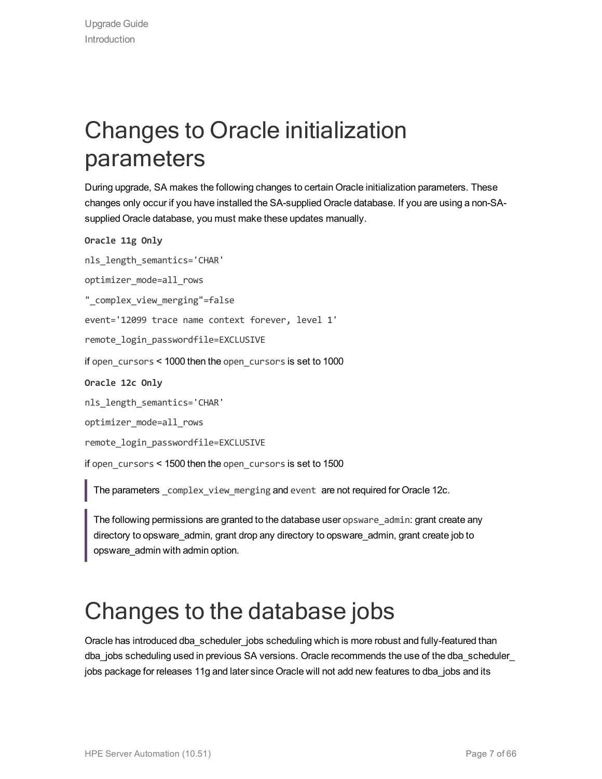### <span id="page-6-0"></span>Changes to Oracle initialization parameters

During upgrade, SA makes the following changes to certain Oracle initialization parameters. These changes only occur if you have installed the SA-supplied Oracle database. If you are using a non-SAsupplied Oracle database, you must make these updates manually.

```
Oracle 11g Only
```
nls length semantics='CHAR'

optimizer\_mode=all\_rows

"\_complex\_view\_merging"=false

event='12099 trace name context forever, level 1'

remote login passwordfile=EXCLUSIVE

if open\_cursors < 1000 then the open\_cursors is set to 1000

**Oracle 12c Only**

nls length semantics='CHAR'

optimizer\_mode=all\_rows

remote login passwordfile=EXCLUSIVE

if open cursors < 1500 then the open cursors is set to 1500

The parameters complex view merging and event are not required for Oracle 12c.

The following permissions are granted to the database user opsware admin: grant create any directory to opsware\_admin, grant drop any directory to opsware\_admin, grant create job to opsware\_admin with admin option.

### <span id="page-6-1"></span>Changes to the database jobs

Oracle has introduced dba\_scheduler\_jobs scheduling which is more robust and fully-featured than dba jobs scheduling used in previous SA versions. Oracle recommends the use of the dba\_scheduler\_ jobs package for releases 11g and later since Oracle will not add new features to dba\_jobs and its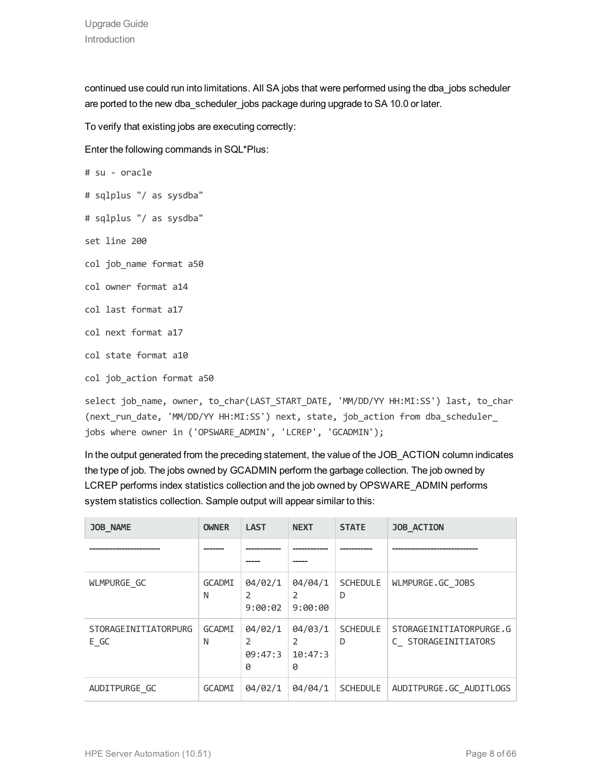continued use could run into limitations. All SA jobs that were performed using the dba\_jobs scheduler are ported to the new dba\_scheduler\_jobs package during upgrade to SA 10.0 or later.

To verify that existing jobs are executing correctly:

Enter the following commands in SQL\*Plus:

```
# su - oracle
# sqlplus "/ as sysdba"
# sqlplus "/ as sysdba"
set line 200
col job name format a50
col owner format a14
col last format a17
col next format a17
col state format a10
col job action format a50
```
select job name, owner, to char(LAST START DATE, 'MM/DD/YY HH:MI:SS') last, to char (next\_run\_date, 'MM/DD/YY HH:MI:SS') next, state, job\_action from dba\_scheduler\_ jobs where owner in ('OPSWARE\_ADMIN', 'LCREP', 'GCADMIN');

In the output generated from the preceding statement, the value of the JOB\_ACTION column indicates the type of job. The jobs owned by GCADMIN perform the garbage collection. The job owned by LCREP performs index statistics collection and the job owned by OPSWARE\_ADMIN performs system statistics collection. Sample output will appear similar to this:

| <b>JOB NAME</b>              | <b>OWNER</b>       | <b>LAST</b>                          | <b>NEXT</b>                               | <b>STATE</b>         | <b>JOB ACTION</b>                              |
|------------------------------|--------------------|--------------------------------------|-------------------------------------------|----------------------|------------------------------------------------|
|                              |                    |                                      |                                           |                      |                                                |
| WLMPURGE GC                  | <b>GCADMI</b><br>N | 04/02/1<br>$\mathfrak{p}$<br>9:00:02 | 04/04/1<br>$\mathfrak{p}$<br>9:00:00      | <b>SCHEDULE</b><br>D | WLMPURGE.GC JOBS                               |
| STORAGEINITIATORPURG<br>E GC | <b>GCADMI</b><br>N | 04/02/1<br>2<br>09:47:3<br>0         | 04/03/1<br>$\mathfrak{p}$<br>10:47:3<br>0 | <b>SCHEDULE</b><br>D | STORAGEINITIATORPURGE.G<br>C STORAGEINITIATORS |
| AUDITPURGE GC                | <b>GCADMI</b>      | 04/02/1                              | 04/04/1                                   | <b>SCHEDULE</b>      | AUDITPURGE.GC AUDITLOGS                        |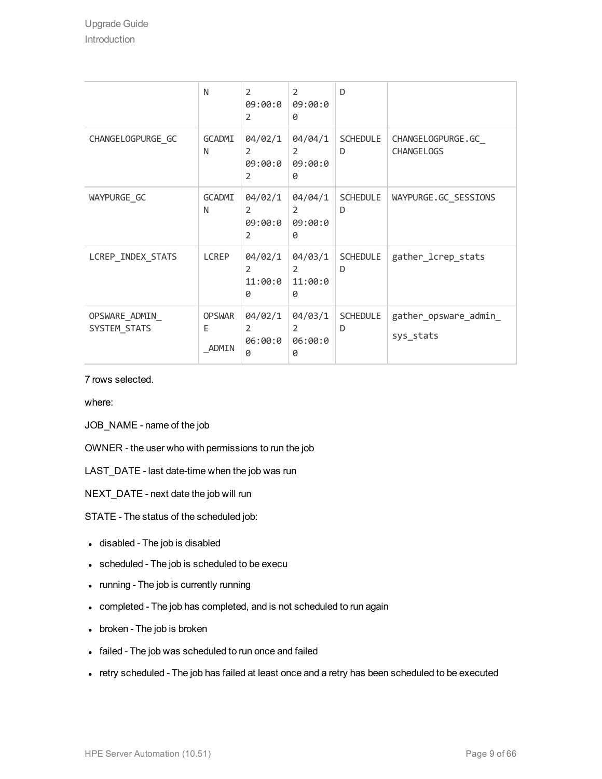|                                | N                           | $\overline{2}$<br>09:00:0<br>$\overline{2}$            | 2<br>09:00:0<br>0                         | D                    |                                         |
|--------------------------------|-----------------------------|--------------------------------------------------------|-------------------------------------------|----------------------|-----------------------------------------|
| CHANGELOGPURGE_GC              | GCADMI<br>N                 | 04/02/1<br>$\overline{2}$<br>09:00:0<br>$\overline{2}$ | 04/04/1<br>$\overline{2}$<br>09:00:0<br>0 | <b>SCHEDULE</b><br>D | CHANGELOGPURGE.GC_<br><b>CHANGELOGS</b> |
| WAYPURGE GC                    | GCADMI<br>N                 | 04/02/1<br>$\mathfrak{D}$<br>09:00:0<br>$\overline{2}$ | 04/04/1<br>$\mathcal{L}$<br>09:00:0<br>0  | SCHEDULE<br>D        | WAYPURGE.GC_SESSIONS                    |
| LCREP_INDEX_STATS              | LCREP                       | 04/02/1<br>$\overline{2}$<br>11:00:0<br>0              | 04/03/1<br>2<br>11:00:0<br>0              | <b>SCHEDULE</b><br>D | gather_lcrep_stats                      |
| OPSWARE_ADMIN_<br>SYSTEM_STATS | <b>OPSWAR</b><br>E<br>ADMIN | 04/02/1<br>$\overline{2}$<br>06:00:0<br>0              | 04/03/1<br>2<br>06:00:0<br>0              | <b>SCHEDULE</b><br>D | gather_opsware_admin_<br>sys_stats      |

7 rows selected.

where:

JOB\_NAME - name of the job

OWNER - the user who with permissions to run the job

LAST\_DATE - last date-time when the job was run

NEXT\_DATE - next date the job will run

STATE - The status of the scheduled job:

- disabled The job is disabled
- scheduled The job is scheduled to be execu
- running The job is currently running
- completed The job has completed, and is not scheduled to run again
- broken The job is broken
- failed The job was scheduled to run once and failed
- retry scheduled The job has failed at least once and a retry has been scheduled to be executed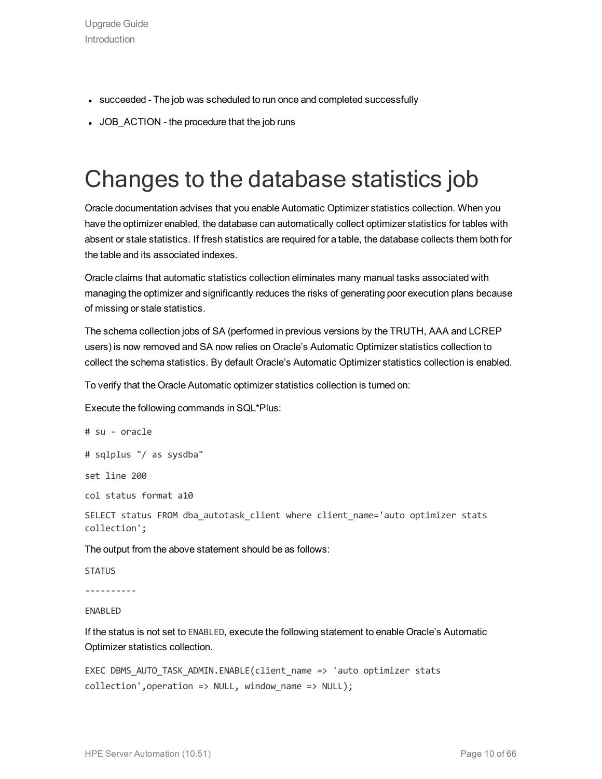- succeeded The job was scheduled to run once and completed successfully
- <span id="page-9-0"></span>• JOB\_ACTION - the procedure that the job runs

### Changes to the database statistics job

Oracle documentation advises that you enable Automatic Optimizer statistics collection. When you have the optimizer enabled, the database can automatically collect optimizer statistics for tables with absent or stale statistics. If fresh statistics are required for a table, the database collects them both for the table and its associated indexes.

Oracle claims that automatic statistics collection eliminates many manual tasks associated with managing the optimizer and significantly reduces the risks of generating poor execution plans because of missing or stale statistics.

The schema collection jobs of SA (performed in previous versions by the TRUTH, AAA and LCREP users) is now removed and SA now relies on Oracle's Automatic Optimizer statistics collection to collect the schema statistics. By default Oracle's Automatic Optimizer statistics collection is enabled.

To verify that the Oracle Automatic optimizer statistics collection is turned on:

Execute the following commands in SQL\*Plus:

```
# su - oracle
# sqlplus "/ as sysdba"
set line 200
col status format a10
SELECT status FROM dba autotask client where client name='auto optimizer stats
collection';
The output from the above statement should be as follows:
STATUS
```
----------

ENABLED

If the status is not set to ENABLED, execute the following statement to enable Oracle's Automatic Optimizer statistics collection.

```
EXEC DBMS AUTO TASK ADMIN.ENABLE(client name => 'auto optimizer stats
collection',operation \Rightarrow NULL, window name \Rightarrow NULL);
```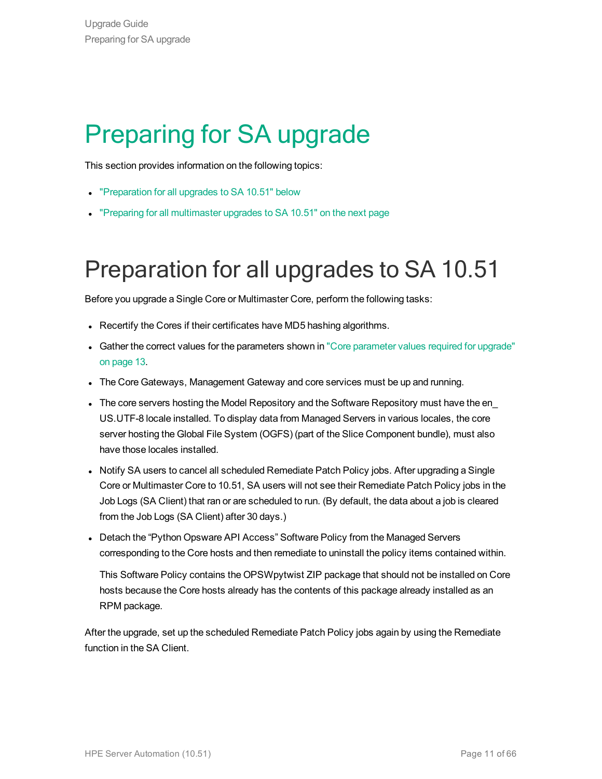## <span id="page-10-0"></span>Preparing for SA upgrade

This section provides information on the following topics:

- ["Preparation](#page-10-1) for all upgrades to SA 10.51" below
- <span id="page-10-1"></span>• "Preparing for all [multimaster](#page-11-1) upgrades to SA 10.51" on the next page

### Preparation for all upgrades to SA 10.51

Before you upgrade a Single Core or Multimaster Core, perform the following tasks:

- Recertify the Cores if their certificates have MD5 hashing algorithms.
- Gather the correct values for the [parameter](#page-12-0)s shown in "Core parameter values required for upgrade" on [page](#page-12-0) 13.
- The Core Gateways, Management Gateway and core services must be up and running.
- The core servers hosting the Model Repository and the Software Repository must have the en\_ US.UTF-8 locale installed. To display data from Managed Servers in various locales, the core server hosting the Global File System (OGFS) (part of the Slice Component bundle), must also have those locales installed.
- Notify SA users to cancel all scheduled Remediate Patch Policy jobs. After upgrading a Single Core or Multimaster Core to 10.51, SA users will not see their Remediate Patch Policy jobs in the Job Logs (SA Client) that ran or are scheduled to run. (By default, the data about a job is cleared from the Job Logs (SA Client) after 30 days.)
- Detach the "Python Opsware API Access" Software Policy from the Managed Servers corresponding to the Core hosts and then remediate to uninstall the policy items contained within.

This Software Policy contains the OPSWpytwist ZIP package that should not be installed on Core hosts because the Core hosts already has the contents of this package already installed as an RPM package.

After the upgrade, set up the scheduled Remediate Patch Policy jobs again by using the Remediate function in the SA Client.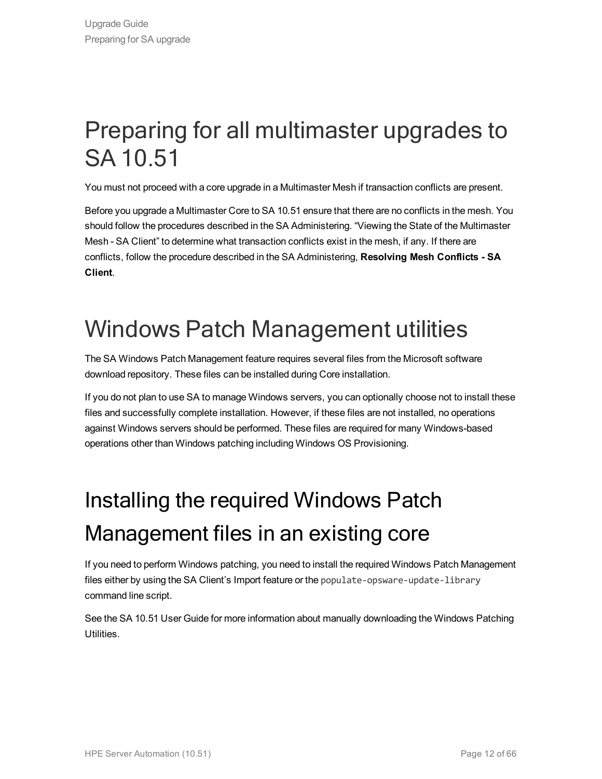### <span id="page-11-1"></span>Preparing for all multimaster upgrades to SA 10.51

You must not proceed with a core upgrade in a Multimaster Mesh if transaction conflicts are present.

Before you upgrade a Multimaster Core to SA 10.51 ensure that there are no conflicts in the mesh. You should follow the procedures described in the SA Administering. "Viewing the State of the Multimaster Mesh - SA Client" to determine what transaction conflicts exist in the mesh, if any. If there are conflicts, follow the procedure described in the SA Administering, **Resolving Mesh Conflicts - SA Client**.

### <span id="page-11-0"></span>Windows Patch Management utilities

The SA Windows Patch Management feature requires several files from the Microsoft software download repository. These files can be installed during Core installation.

If you do not plan to use SA to manage Windows servers, you can optionally choose not to install these files and successfully complete installation. However, if these files are not installed, no operations against Windows servers should be performed. These files are required for many Windows-based operations other than Windows patching including Windows OS Provisioning.

## Installing the required Windows Patch Management files in an existing core

If you need to perform Windows patching, you need to install the required Windows Patch Management files either by using the SA Client's Import feature or the populate-opsware-update-library command line script.

See the SA 10.51 User Guide for more information about manually downloading the Windows Patching Utilities.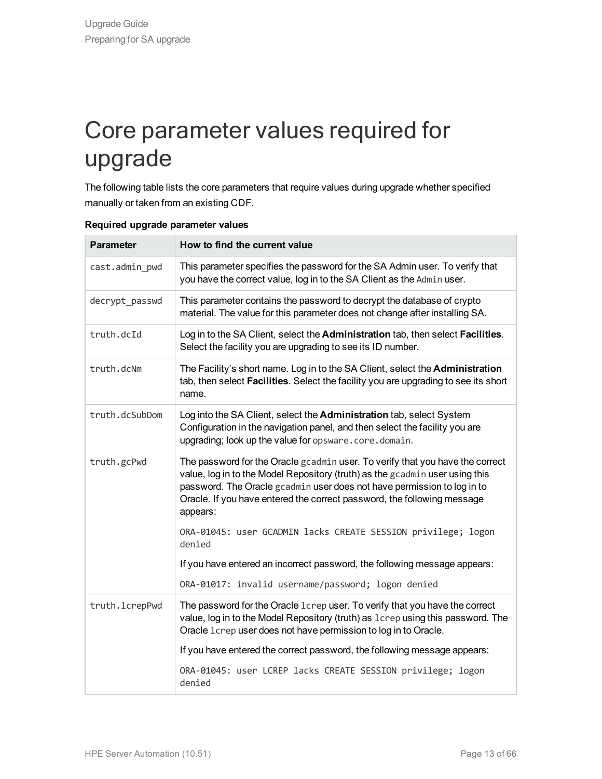### <span id="page-12-0"></span>Core parameter values required for upgrade

The following table lists the core parameters that require values during upgrade whether specified manually or taken from an existing CDF.

| <b>Parameter</b> | How to find the current value                                                                                                                                                                                                                                                                                                   |
|------------------|---------------------------------------------------------------------------------------------------------------------------------------------------------------------------------------------------------------------------------------------------------------------------------------------------------------------------------|
| cast.admin_pwd   | This parameter specifies the password for the SA Admin user. To verify that<br>you have the correct value, log in to the SA Client as the Admin user.                                                                                                                                                                           |
| decrypt_passwd   | This parameter contains the password to decrypt the database of crypto<br>material. The value for this parameter does not change after installing SA.                                                                                                                                                                           |
| truth.dcId       | Log in to the SA Client, select the Administration tab, then select Facilities.<br>Select the facility you are upgrading to see its ID number.                                                                                                                                                                                  |
| truth.dcNm       | The Facility's short name. Log in to the SA Client, select the Administration<br>tab, then select Facilities. Select the facility you are upgrading to see its short<br>name.                                                                                                                                                   |
| truth.dcSubDom   | Log into the SA Client, select the Administration tab, select System<br>Configuration in the navigation panel, and then select the facility you are<br>upgrading; look up the value for opsware.core.domain.                                                                                                                    |
| truth.gcPwd      | The password for the Oracle gcadmin user. To verify that you have the correct<br>value, log in to the Model Repository (truth) as the gcadmin user using this<br>password. The Oracle gcadmin user does not have permission to log in to<br>Oracle. If you have entered the correct password, the following message<br>appears: |
|                  | ORA-01045: user GCADMIN lacks CREATE SESSION privilege; logon<br>denied                                                                                                                                                                                                                                                         |
|                  | If you have entered an incorrect password, the following message appears:                                                                                                                                                                                                                                                       |
|                  | ORA-01017: invalid username/password; logon denied                                                                                                                                                                                                                                                                              |
| truth.lcrepPwd   | The password for the Oracle 1crep user. To verify that you have the correct<br>value, log in to the Model Repository (truth) as 1crep using this password. The<br>Oracle 1crep user does not have permission to log in to Oracle.                                                                                               |
|                  | If you have entered the correct password, the following message appears:                                                                                                                                                                                                                                                        |
|                  | ORA-01045: user LCREP lacks CREATE SESSION privilege; logon<br>denied                                                                                                                                                                                                                                                           |

#### **Required upgrade parameter values**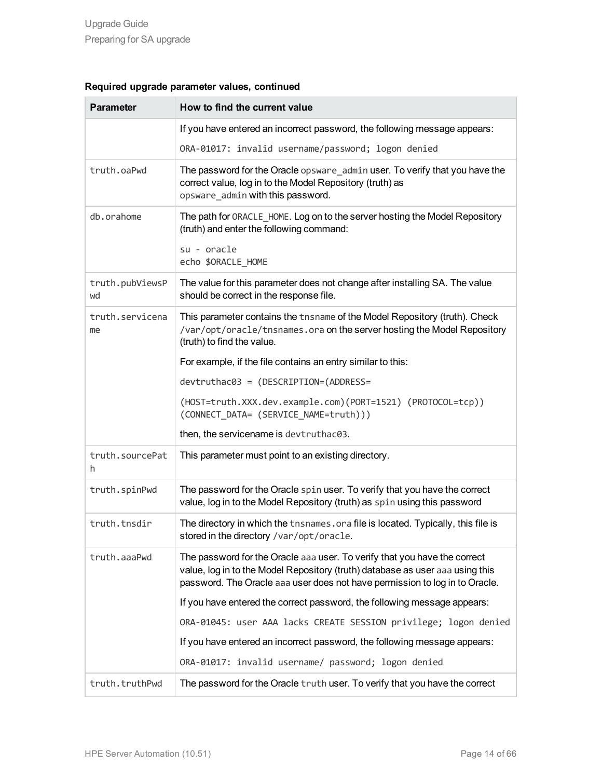| <b>Parameter</b>      | How to find the current value                                                                                                                                                                                                             |
|-----------------------|-------------------------------------------------------------------------------------------------------------------------------------------------------------------------------------------------------------------------------------------|
|                       | If you have entered an incorrect password, the following message appears:                                                                                                                                                                 |
|                       | ORA-01017: invalid username/password; logon denied                                                                                                                                                                                        |
| truth.oaPwd           | The password for the Oracle opsware_admin user. To verify that you have the<br>correct value, log in to the Model Repository (truth) as<br>opsware_admin with this password.                                                              |
| db.orahome            | The path for ORACLE_HOME. Log on to the server hosting the Model Repository<br>(truth) and enter the following command:                                                                                                                   |
|                       | su - oracle<br>echo \$ORACLE_HOME                                                                                                                                                                                                         |
| truth.pubViewsP<br>wd | The value for this parameter does not change after installing SA. The value<br>should be correct in the response file.                                                                                                                    |
| truth.servicena<br>me | This parameter contains the thsname of the Model Repository (truth). Check<br>/var/opt/oracle/tnsnames.ora on the server hosting the Model Repository<br>(truth) to find the value.                                                       |
|                       | For example, if the file contains an entry similar to this:                                                                                                                                                                               |
|                       | devtruthac03 = (DESCRIPTION=(ADDRESS=                                                                                                                                                                                                     |
|                       | (HOST=truth.XXX.dev.example.com)(PORT=1521) (PROTOCOL=tcp))<br>(CONNECT_DATA= (SERVICE_NAME=truth)))                                                                                                                                      |
|                       | then, the servicename is devtruthac03.                                                                                                                                                                                                    |
| truth.sourcePat<br>h. | This parameter must point to an existing directory.                                                                                                                                                                                       |
| truth.spinPwd         | The password for the Oracle spin user. To verify that you have the correct<br>value, log in to the Model Repository (truth) as spin using this password                                                                                   |
| truth.tnsdir          | The directory in which the tnsnames.ora file is located. Typically, this file is<br>stored in the directory /var/opt/oracle.                                                                                                              |
| truth.aaaPwd          | The password for the Oracle aaa user. To verify that you have the correct<br>value, log in to the Model Repository (truth) database as user aaa using this<br>password. The Oracle aaa user does not have permission to log in to Oracle. |
|                       | If you have entered the correct password, the following message appears:                                                                                                                                                                  |
|                       | ORA-01045: user AAA lacks CREATE SESSION privilege; logon denied                                                                                                                                                                          |
|                       | If you have entered an incorrect password, the following message appears:                                                                                                                                                                 |
|                       | ORA-01017: invalid username/ password; logon denied                                                                                                                                                                                       |
| truth.truthPwd        | The password for the Oracle truth user. To verify that you have the correct                                                                                                                                                               |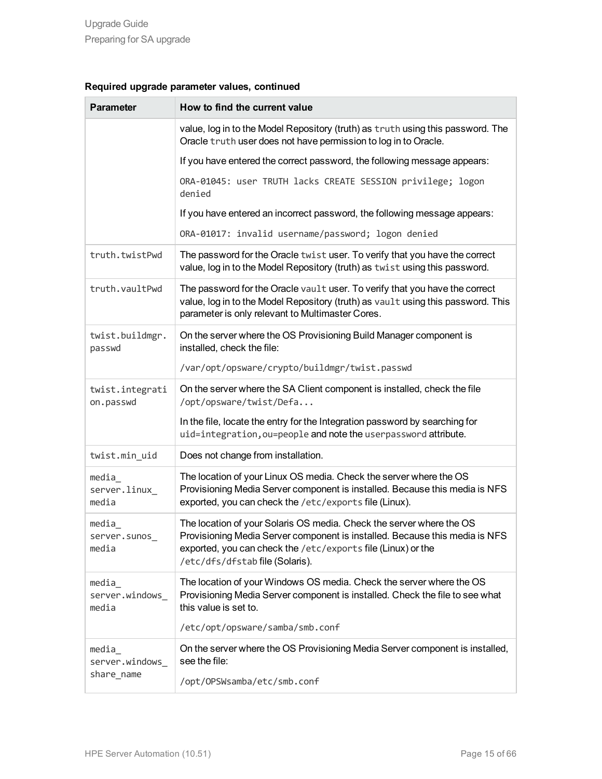| <b>Parameter</b>                       | How to find the current value                                                                                                                                                                                                                          |
|----------------------------------------|--------------------------------------------------------------------------------------------------------------------------------------------------------------------------------------------------------------------------------------------------------|
|                                        | value, log in to the Model Repository (truth) as truth using this password. The<br>Oracle truth user does not have permission to log in to Oracle.                                                                                                     |
|                                        | If you have entered the correct password, the following message appears:                                                                                                                                                                               |
|                                        | ORA-01045: user TRUTH lacks CREATE SESSION privilege; logon<br>denied                                                                                                                                                                                  |
|                                        | If you have entered an incorrect password, the following message appears:                                                                                                                                                                              |
|                                        | ORA-01017: invalid username/password; logon denied                                                                                                                                                                                                     |
| truth.twistPwd                         | The password for the Oracle twist user. To verify that you have the correct<br>value, log in to the Model Repository (truth) as twist using this password.                                                                                             |
| truth.vaultPwd                         | The password for the Oracle vault user. To verify that you have the correct<br>value, log in to the Model Repository (truth) as vault using this password. This<br>parameter is only relevant to Multimaster Cores.                                    |
| twist.buildmgr.<br>passwd              | On the server where the OS Provisioning Build Manager component is<br>installed, check the file:                                                                                                                                                       |
|                                        | /var/opt/opsware/crypto/buildmgr/twist.passwd                                                                                                                                                                                                          |
| twist.integrati<br>on.passwd           | On the server where the SA Client component is installed, check the file<br>/opt/opsware/twist/Defa                                                                                                                                                    |
|                                        | In the file, locate the entry for the Integration password by searching for<br>uid=integration, ou=people and note the userpassword attribute.                                                                                                         |
| twist.min_uid                          | Does not change from installation.                                                                                                                                                                                                                     |
| media<br>server.linux_<br>media        | The location of your Linux OS media. Check the server where the OS<br>Provisioning Media Server component is installed. Because this media is NFS<br>exported, you can check the /etc/exports file (Linux).                                            |
| media<br>server.sunos<br>media         | The location of your Solaris OS media. Check the server where the OS<br>Provisioning Media Server component is installed. Because this media is NFS<br>exported, you can check the /etc/exports file (Linux) or the<br>/etc/dfs/dfstab file (Solaris). |
| media<br>server.windows_<br>media      | The location of your Windows OS media. Check the server where the OS<br>Provisioning Media Server component is installed. Check the file to see what<br>this value is set to.                                                                          |
|                                        | /etc/opt/opsware/samba/smb.conf                                                                                                                                                                                                                        |
| media<br>server.windows_<br>share_name | On the server where the OS Provisioning Media Server component is installed,<br>see the file:                                                                                                                                                          |
|                                        | /opt/OPSWsamba/etc/smb.conf                                                                                                                                                                                                                            |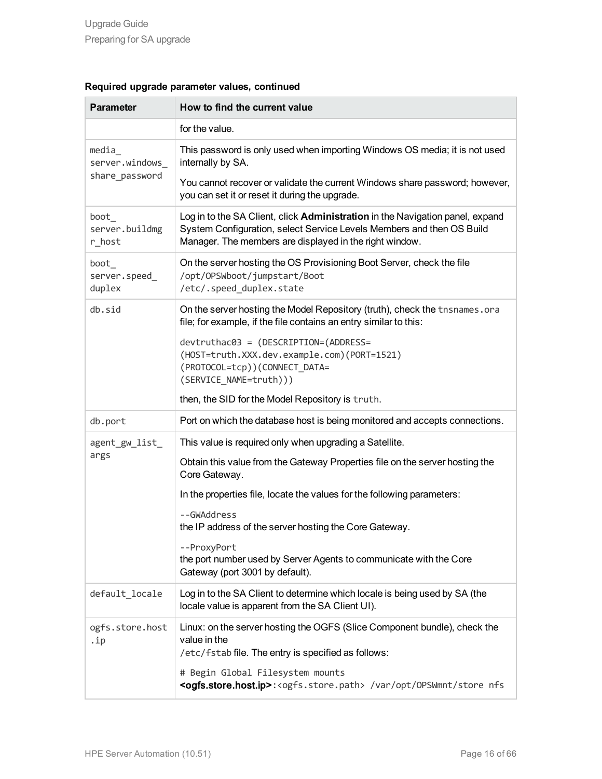|  | Required upgrade parameter values, continued |  |
|--|----------------------------------------------|--|
|  |                                              |  |

| <b>Parameter</b>                           | How to find the current value                                                                                                                                                                                                                                                                                                                                                                                                        |
|--------------------------------------------|--------------------------------------------------------------------------------------------------------------------------------------------------------------------------------------------------------------------------------------------------------------------------------------------------------------------------------------------------------------------------------------------------------------------------------------|
|                                            | for the value.                                                                                                                                                                                                                                                                                                                                                                                                                       |
| media<br>server.windows_<br>share_password | This password is only used when importing Windows OS media; it is not used<br>internally by SA.<br>You cannot recover or validate the current Windows share password; however,<br>you can set it or reset it during the upgrade.                                                                                                                                                                                                     |
| boot<br>server.buildmg<br>r_host           | Log in to the SA Client, click Administration in the Navigation panel, expand<br>System Configuration, select Service Levels Members and then OS Build<br>Manager. The members are displayed in the right window.                                                                                                                                                                                                                    |
| boot<br>server.speed_<br>duplex            | On the server hosting the OS Provisioning Boot Server, check the file<br>/opt/OPSWboot/jumpstart/Boot<br>/etc/.speed_duplex.state                                                                                                                                                                                                                                                                                                    |
| db.sid                                     | On the server hosting the Model Repository (truth), check the tnsnames.ora<br>file; for example, if the file contains an entry similar to this:<br>devtruthac03 = (DESCRIPTION=(ADDRESS=<br>(HOST=truth.XXX.dev.example.com)(PORT=1521)<br>(PROTOCOL=tcp))(CONNECT_DATA=<br>(SERVICE_NAME=truth)))<br>then, the SID for the Model Repository is truth.                                                                               |
| db.port                                    | Port on which the database host is being monitored and accepts connections.                                                                                                                                                                                                                                                                                                                                                          |
| agent_gw_list_<br>args                     | This value is required only when upgrading a Satellite.<br>Obtain this value from the Gateway Properties file on the server hosting the<br>Core Gateway.<br>In the properties file, locate the values for the following parameters:<br>--GWAddress<br>the IP address of the server hosting the Core Gateway.<br>--ProxyPort<br>the port number used by Server Agents to communicate with the Core<br>Gateway (port 3001 by default). |
| default locale                             | Log in to the SA Client to determine which locale is being used by SA (the<br>locale value is apparent from the SA Client UI).                                                                                                                                                                                                                                                                                                       |
| ogfs.store.host<br>.ip                     | Linux: on the server hosting the OGFS (Slice Component bundle), check the<br>value in the<br>/etc/fstab file. The entry is specified as follows:<br># Begin Global Filesystem mounts<br><ogfs.store.host.ip>:<ogfs.store.path> /var/opt/0PSWmnt/store nfs</ogfs.store.path></ogfs.store.host.ip>                                                                                                                                     |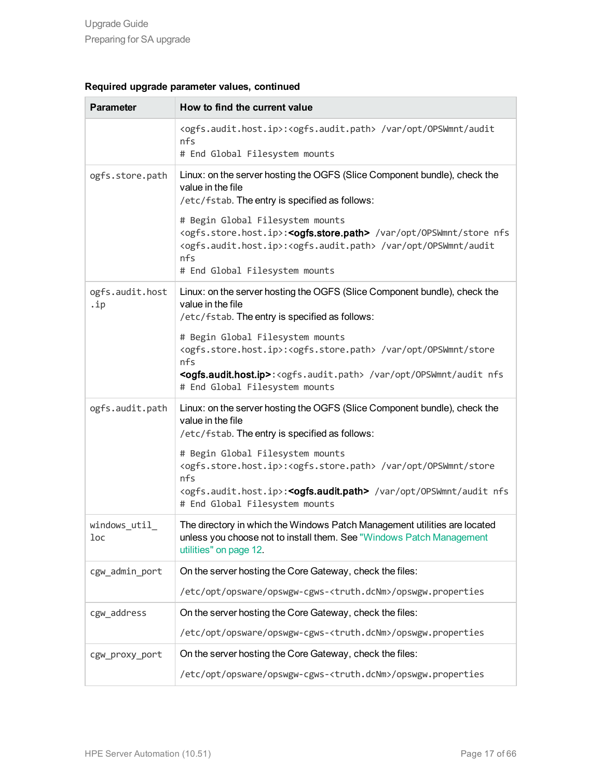| <b>Parameter</b>       | How to find the current value                                                                                                                                                                                                                                                                                                                                                                                                                                                          |
|------------------------|----------------------------------------------------------------------------------------------------------------------------------------------------------------------------------------------------------------------------------------------------------------------------------------------------------------------------------------------------------------------------------------------------------------------------------------------------------------------------------------|
|                        | <ogfs.audit.host.ip>:<ogfs.audit.path> /var/opt/OPSWmnt/audit<br/>nfs<br/># End Global Filesystem mounts</ogfs.audit.path></ogfs.audit.host.ip>                                                                                                                                                                                                                                                                                                                                        |
| ogfs.store.path        | Linux: on the server hosting the OGFS (Slice Component bundle), check the<br>value in the file<br>/etc/fstab. The entry is specified as follows:<br># Begin Global Filesystem mounts<br><ogfs.store.host.ip>:<ogfs.store.path> /var/opt/OPSWmnt/store nfs<br/><ogfs.audit.host.ip>:<ogfs.audit.path> /var/opt/OPSWmnt/audit<br/>nfs</ogfs.audit.path></ogfs.audit.host.ip></ogfs.store.path></ogfs.store.host.ip>                                                                      |
| ogfs.audit.host<br>.ip | # End Global Filesystem mounts<br>Linux: on the server hosting the OGFS (Slice Component bundle), check the<br>value in the file<br>/etc/fstab. The entry is specified as follows:<br># Begin Global Filesystem mounts<br><ogfs.store.host.ip>:<ogfs.store.path> /var/opt/OPSWmnt/store<br/>nfs<br/><ogfs.audit.host.ip>:<ogfs.audit.path> /var/opt/0PSWmnt/audit nfs<br/># End Global Filesystem mounts</ogfs.audit.path></ogfs.audit.host.ip></ogfs.store.path></ogfs.store.host.ip> |
| ogfs.audit.path        | Linux: on the server hosting the OGFS (Slice Component bundle), check the<br>value in the file<br>/etc/fstab. The entry is specified as follows:<br># Begin Global Filesystem mounts<br><ogfs.store.host.ip>:<ogfs.store.path> /var/opt/OPSWmnt/store<br/>nfs<br/><ogfs.audit.host.ip>:<ogfs.audit.path> /var/opt/OPSWmnt/audit nfs<br/># End Global Filesystem mounts</ogfs.audit.path></ogfs.audit.host.ip></ogfs.store.path></ogfs.store.host.ip>                                   |
| windows_util_<br>loc   | The directory in which the Windows Patch Management utilities are located<br>unless you choose not to install them. See "Windows Patch Management<br>utilities" on page 12.                                                                                                                                                                                                                                                                                                            |
| cgw_admin_port         | On the server hosting the Core Gateway, check the files:<br>/etc/opt/opsware/opswgw-cgws- <truth.dcnm>/opswgw.properties</truth.dcnm>                                                                                                                                                                                                                                                                                                                                                  |
| cgw address            | On the server hosting the Core Gateway, check the files:<br>/etc/opt/opsware/opswgw-cgws- <truth.dcnm>/opswgw.properties</truth.dcnm>                                                                                                                                                                                                                                                                                                                                                  |
| cgw proxy port         | On the server hosting the Core Gateway, check the files:<br>/etc/opt/opsware/opswgw-cgws- <truth.dcnm>/opswgw.properties</truth.dcnm>                                                                                                                                                                                                                                                                                                                                                  |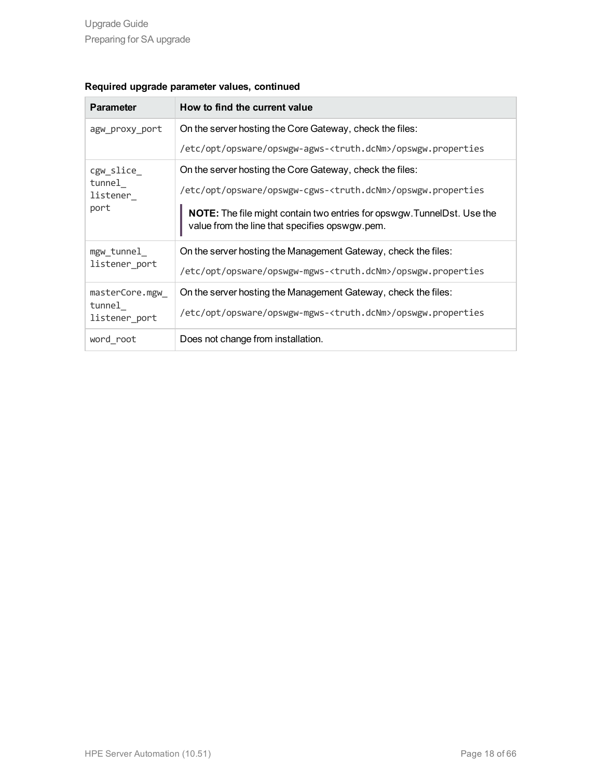| <b>Parameter</b>        | How to find the current value                                                                                             |
|-------------------------|---------------------------------------------------------------------------------------------------------------------------|
| agw proxy port          | On the server hosting the Core Gateway, check the files:                                                                  |
|                         | /etc/opt/opsware/opswgw-agws- <truth.dcnm>/opswgw.properties</truth.dcnm>                                                 |
| cgw_slice_              | On the server hosting the Core Gateway, check the files:                                                                  |
| tunnel<br>listener_     | /etc/opt/opsware/opswgw-cgws- <truth.dcnm>/opswgw.properties</truth.dcnm>                                                 |
| port                    | NOTE: The file might contain two entries for opswgw. TunnelDst. Use the<br>value from the line that specifies opswgw.pem. |
| mgw_tunnel_             | On the server hosting the Management Gateway, check the files:                                                            |
| listener_port           | /etc/opt/opsware/opswgw-mgws- <truth.dcnm>/opswgw.properties</truth.dcnm>                                                 |
| masterCore.mgw          | On the server hosting the Management Gateway, check the files:                                                            |
| tunnel<br>listener port | /etc/opt/opsware/opswgw-mgws- <truth.dcnm>/opswgw.properties</truth.dcnm>                                                 |
| word root               | Does not change from installation.                                                                                        |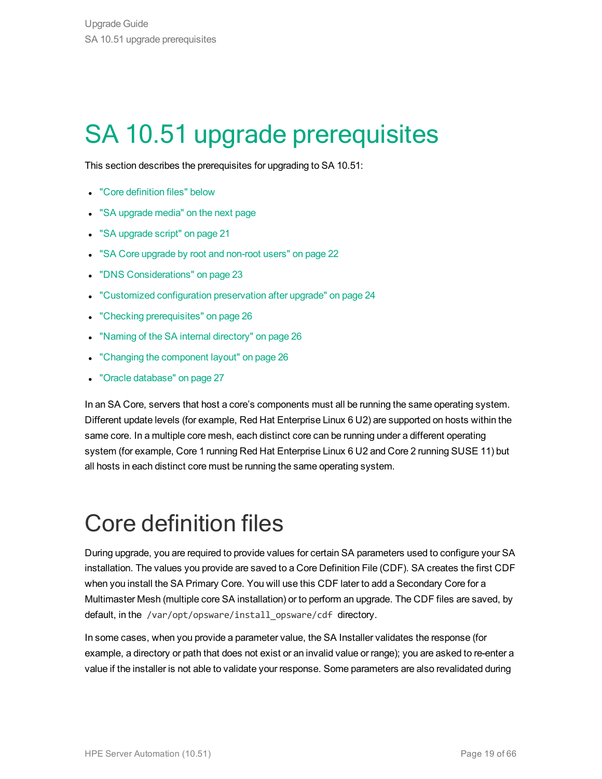## <span id="page-18-0"></span>SA 10.51 upgrade prerequisites

This section describes the prerequisites for upgrading to SA 10.51:

- **.** "Core [definition](#page-18-1) files" below
- "SA [upgrade](#page-19-1) media" on the next page
- "SA [upgrade](#page-20-0) script" on page 21
- . "SA Core upgrade by root and [non-root](#page-21-0) users" on page 22
- "DNS [Considerations"](#page-22-1) on page 23
- ["Customized](#page-23-0) configuration preservation after upgrade" on page 24
- "Checking [prerequisites"](#page-25-0) on page 26
- "Naming of the SA internal [directory"](#page-25-1) on page 26
- "Changing the [component](#page-25-2) layout" on page 26
- "Oracle [database"](#page-26-0) on page 27

In an SA Core, servers that host a core's components must all be running the same operating system. Different update levels (for example, Red Hat Enterprise Linux 6 U2) are supported on hosts within the same core. In a multiple core mesh, each distinct core can be running under a different operating system (for example, Core 1 running Red Hat Enterprise Linux 6 U2 and Core 2 running SUSE 11) but all hosts in each distinct core must be running the same operating system.

### <span id="page-18-1"></span>Core definition files

During upgrade, you are required to provide values for certain SA parameters used to configure your SA installation. The values you provide are saved to a Core Definition File (CDF). SA creates the first CDF when you install the SA Primary Core. You will use this CDF later to add a Secondary Core for a Multimaster Mesh (multiple core SA installation) or to perform an upgrade. The CDF files are saved, by default, in the /var/opt/opsware/install\_opsware/cdf\_directory.

In some cases, when you provide a parameter value, the SA Installer validates the response (for example, a directory or path that does not exist or an invalid value or range); you are asked to re-enter a value if the installer is not able to validate your response. Some parameters are also revalidated during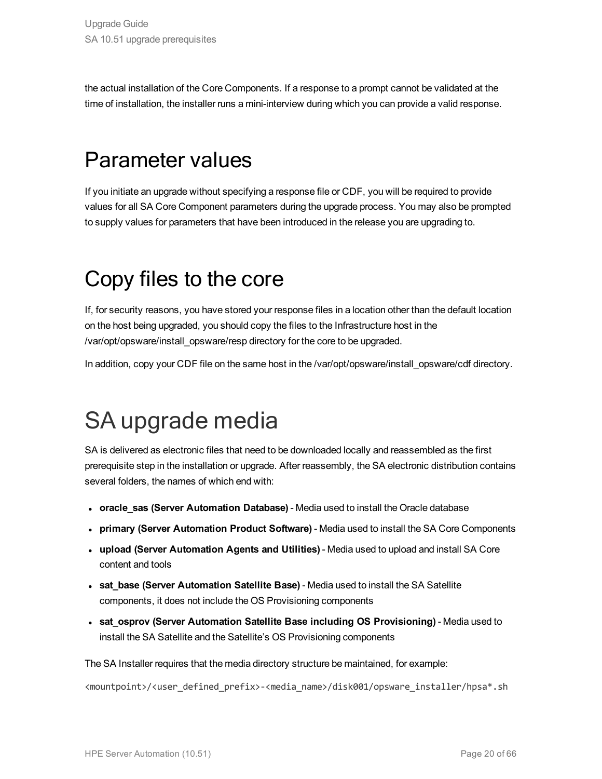the actual installation of the Core Components. If a response to a prompt cannot be validated at the time of installation, the installer runs a mini-interview during which you can provide a valid response.

### Parameter values

If you initiate an upgrade without specifying a response file or CDF, you will be required to provide values for all SA Core Component parameters during the upgrade process. You may also be prompted to supply values for parameters that have been introduced in the release you are upgrading to.

### <span id="page-19-0"></span>Copy files to the core

If, for security reasons, you have stored your response files in a location other than the default location on the host being upgraded, you should copy the files to the Infrastructure host in the /var/opt/opsware/install\_opsware/resp directory for the core to be upgraded.

<span id="page-19-1"></span>In addition, copy your CDF file on the same host in the /var/opt/opsware/install\_opsware/cdf directory.

### SA upgrade media

SA is delivered as electronic files that need to be downloaded locally and reassembled as the first prerequisite step in the installation or upgrade. After reassembly, the SA electronic distribution contains several folders, the names of which end with:

- <sup>l</sup> **oracle\_sas (Server Automation Database)** Media used to install the Oracle database
- <sup>l</sup> **primary (Server Automation Product Software)** Media used to install the SA Core Components
- <sup>l</sup> **upload (Server Automation Agents and Utilities)** Media used to upload and install SA Core content and tools
- **.** sat base (Server Automation Satellite Base) Media used to install the SA Satellite components, it does not include the OS Provisioning components
- <sup>l</sup> **sat\_osprov (Server Automation Satellite Base including OS Provisioning)** Media used to install the SA Satellite and the Satellite's OS Provisioning components

The SA Installer requires that the media directory structure be maintained, for example:

<mountpoint>/<user\_defined\_prefix>-<media\_name>/disk001/opsware\_installer/hpsa\*.sh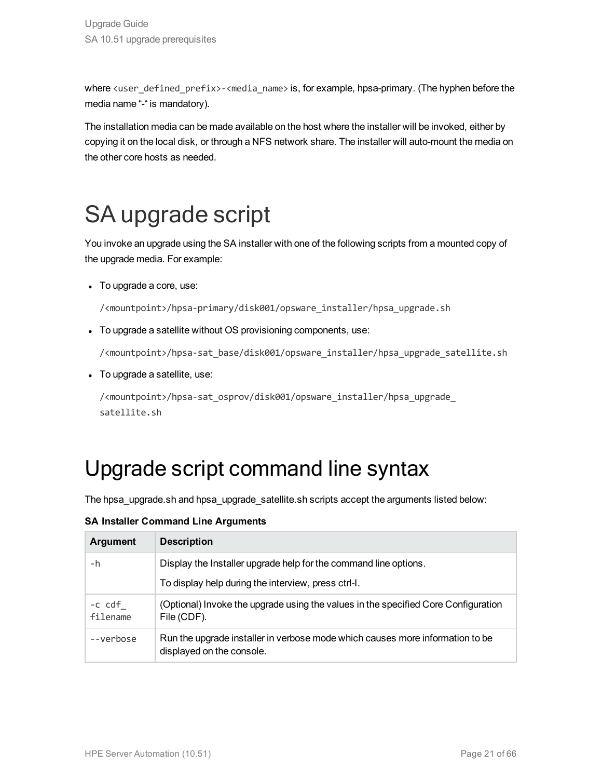where <user\_defined\_prefix>-<media\_name> is, for example, hpsa-primary. (The hyphen before the media name "-" is mandatory).

The installation media can be made available on the host where the installer will be invoked, either by copying it on the local disk, or through a NFS network share. The installer will auto-mount the media on the other core hosts as needed.

### <span id="page-20-0"></span>SA upgrade script

You invoke an upgrade using the SA installer with one of the following scripts from a mounted copy of the upgrade media. For example:

• To upgrade a core, use:

/<mountpoint>/hpsa-primary/disk001/opsware\_installer/hpsa\_upgrade.sh

• To upgrade a satellite without OS provisioning components, use:

/<mountpoint>/hpsa-sat\_base/disk001/opsware\_installer/hpsa\_upgrade\_satellite.sh

• To upgrade a satellite, use:

<span id="page-20-1"></span>/<mountpoint>/hpsa-sat\_osprov/disk001/opsware\_installer/hpsa\_upgrade\_ satellite.sh

### Upgrade script command line syntax

The hpsa\_upgrade.sh and hpsa\_upgrade\_satellite.sh scripts accept the arguments listed below:

**SA Installer Command Line Arguments**

| <b>Argument</b>    | <b>Description</b>                                                                                         |
|--------------------|------------------------------------------------------------------------------------------------------------|
| -h                 | Display the Installer upgrade help for the command line options.                                           |
|                    | To display help during the interview, press ctrl-l.                                                        |
| -c cdf<br>filename | (Optional) Invoke the upgrade using the values in the specified Core Configuration<br>File (CDF).          |
| --verbose          | Run the upgrade installer in verbose mode which causes more information to be<br>displayed on the console. |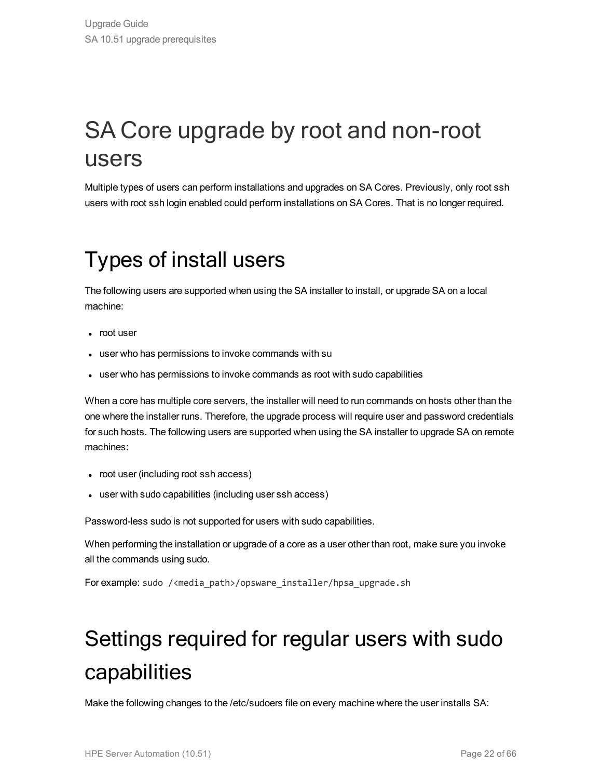### <span id="page-21-0"></span>SA Core upgrade by root and non-root users

<span id="page-21-1"></span>Multiple types of users can perform installations and upgrades on SA Cores. Previously, only root ssh users with root ssh login enabled could perform installations on SA Cores. That is no longer required.

### Types of install users

The following users are supported when using the SA installer to install, or upgrade SA on a local machine:

- root user
- user who has permissions to invoke commands with su
- user who has permissions to invoke commands as root with sudo capabilities

When a core has multiple core servers, the installer will need to run commands on hosts other than the one where the installer runs. Therefore, the upgrade process will require user and password credentials for such hosts. The following users are supported when using the SA installer to upgrade SA on remote machines:

- root user (including root ssh access)
- user with sudo capabilities (including user ssh access)

Password-less sudo is not supported for users with sudo capabilities.

When performing the installation or upgrade of a core as a user other than root, make sure you invoke all the commands using sudo.

<span id="page-21-2"></span>For example: sudo /<media\_path>/opsware\_installer/hpsa\_upgrade.sh

### Settings required for regular users with sudo capabilities

Make the following changes to the /etc/sudoers file on every machine where the user installs SA: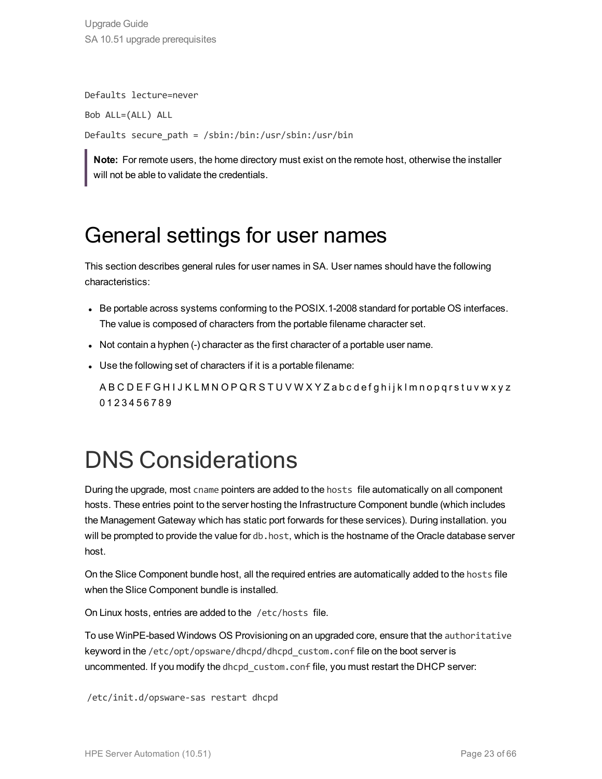Upgrade Guide SA 10.51 upgrade prerequisites

Defaults lecture=never Bob ALL=(ALL) ALL Defaults secure\_path = /sbin:/bin:/usr/sbin:/usr/bin

<span id="page-22-0"></span>**Note:** For remote users, the home directory must exist on the remote host, otherwise the installer will not be able to validate the credentials.

### General settings for user names

This section describes general rules for user names in SA. User names should have the following characteristics:

- Be portable across systems conforming to the POSIX.1-2008 standard for portable OS interfaces. The value is composed of characters from the portable filename character set.
- Not contain a hyphen (-) character as the first character of a portable user name.
- Use the following set of characters if it is a portable filename:

A B C D E F G H I J K L M N O P Q R S T U V W X Y Z a b c d e f g h i j k l m n o p q r s t u v w x y z 0 1 2 3 4 5 6 7 8 9

### <span id="page-22-1"></span>DNS Considerations

During the upgrade, most cname pointers are added to the hosts file automatically on all component hosts. These entries point to the server hosting the Infrastructure Component bundle (which includes the Management Gateway which has static port forwards for these services). During installation. you will be prompted to provide the value for db.host, which is the hostname of the Oracle database server host.

On the Slice Component bundle host, all the required entries are automatically added to the hosts file when the Slice Component bundle is installed.

On Linux hosts, entries are added to the /etc/hosts file.

To use WinPE-based Windows OS Provisioning on an upgraded core, ensure that the authoritative keyword in the /etc/opt/opsware/dhcpd/dhcpd\_custom.conf file on the boot server is uncommented. If you modify the dhcpd\_custom.conf file, you must restart the DHCP server:

/etc/init.d/opsware-sas restart dhcpd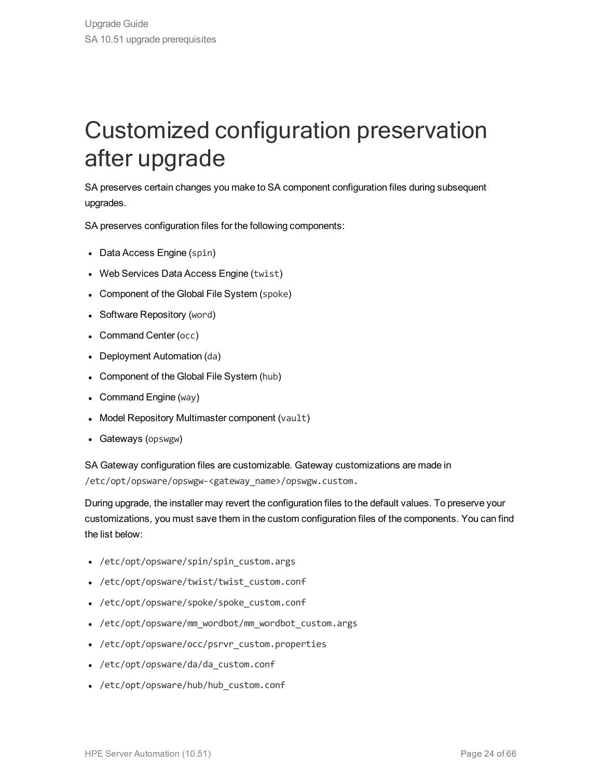### <span id="page-23-0"></span>Customized configuration preservation after upgrade

SA preserves certain changes you make to SA component configuration files during subsequent upgrades.

SA preserves configuration files for the following components:

- Data Access Engine (spin)
- Web Services Data Access Engine (twist)
- Component of the Global File System (spoke)
- Software Repository (word)
- Command Center (occ)
- Deployment Automation (da)
- Component of the Global File System (hub)
- $\bullet$  Command Engine (way)
- Model Repository Multimaster component (vault)
- Gateways (opswgw)

SA Gateway configuration files are customizable. Gateway customizations are made in /etc/opt/opsware/opswgw-<gateway\_name>/opswgw.custom.

During upgrade, the installer may revert the configuration files to the default values. To preserve your customizations, you must save them in the custom configuration files of the components. You can find the list below:

- /etc/opt/opsware/spin/spin custom.args
- /etc/opt/opsware/twist/twist custom.conf
- /etc/opt/opsware/spoke/spoke custom.conf
- /etc/opt/opsware/mm wordbot/mm wordbot custom.args
- /etc/opt/opsware/occ/psrvr\_custom.properties
- /etc/opt/opsware/da/da\_custom.conf
- /etc/opt/opsware/hub/hub custom.conf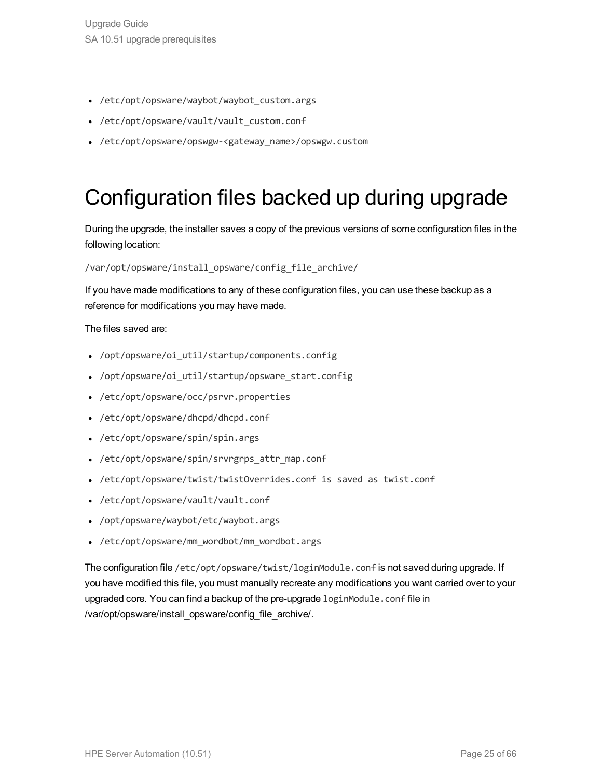- /etc/opt/opsware/waybot/waybot custom.args
- /etc/opt/opsware/vault/vault custom.conf
- /etc/opt/opsware/opswgw-<gateway name>/opswgw.custom

### Configuration files backed up during upgrade

During the upgrade, the installer saves a copy of the previous versions of some configuration files in the following location:

#### /var/opt/opsware/install\_opsware/config\_file\_archive/

If you have made modifications to any of these configuration files, you can use these backup as a reference for modifications you may have made.

#### The files saved are:

- /opt/opsware/oi util/startup/components.config
- /opt/opsware/oi util/startup/opsware start.config
- /etc/opt/opsware/occ/psrvr.properties
- <sup>l</sup> /etc/opt/opsware/dhcpd/dhcpd.conf
- /etc/opt/opsware/spin/spin.args
- /etc/opt/opsware/spin/srvrgrps attr map.conf
- <sup>l</sup> /etc/opt/opsware/twist/twistOverrides.conf is saved as twist.conf
- <sup>l</sup> /etc/opt/opsware/vault/vault.conf
- /opt/opsware/waybot/etc/waybot.args
- /etc/opt/opsware/mm wordbot/mm wordbot.args

The configuration file /etc/opt/opsware/twist/loginModule.conf is not saved during upgrade. If you have modified this file, you must manually recreate any modifications you want carried over to your upgraded core. You can find a backup of the pre-upgrade loginModule.conf file in /var/opt/opsware/install\_opsware/config\_file\_archive/.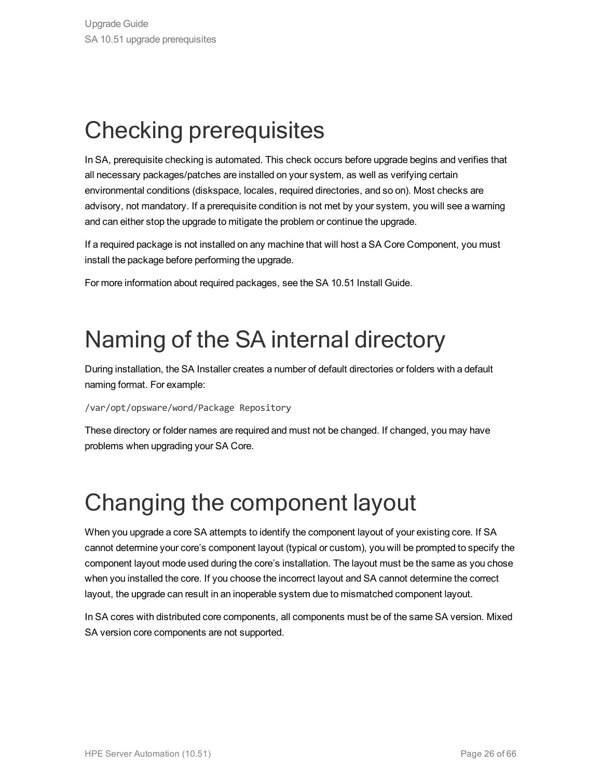### <span id="page-25-0"></span>Checking prerequisites

In SA, prerequisite checking is automated. This check occurs before upgrade begins and verifies that all necessary packages/patches are installed on your system, as well as verifying certain environmental conditions (diskspace, locales, required directories, and so on). Most checks are advisory, not mandatory. If a prerequisite condition is not met by your system, you will see a warning and can either stop the upgrade to mitigate the problem or continue the upgrade.

If a required package is not installed on any machine that will host a SA Core Component, you must install the package before performing the upgrade.

<span id="page-25-1"></span>For more information about required packages, see the SA 10.51 Install Guide.

### Naming of the SA internal directory

During installation, the SA Installer creates a number of default directories or folders with a default naming format. For example:

/var/opt/opsware/word/Package Repository

These directory or folder names are required and must not be changed. If changed, you may have problems when upgrading your SA Core.

### <span id="page-25-2"></span>Changing the component layout

When you upgrade a core SA attempts to identify the component layout of your existing core. If SA cannot determine your core's component layout (typical or custom), you will be prompted to specify the component layout mode used during the core's installation. The layout must be the same as you chose when you installed the core. If you choose the incorrect layout and SA cannot determine the correct layout, the upgrade can result in an inoperable system due to mismatched component layout.

In SA cores with distributed core components, all components must be of the same SA version. Mixed SA version core components are not supported.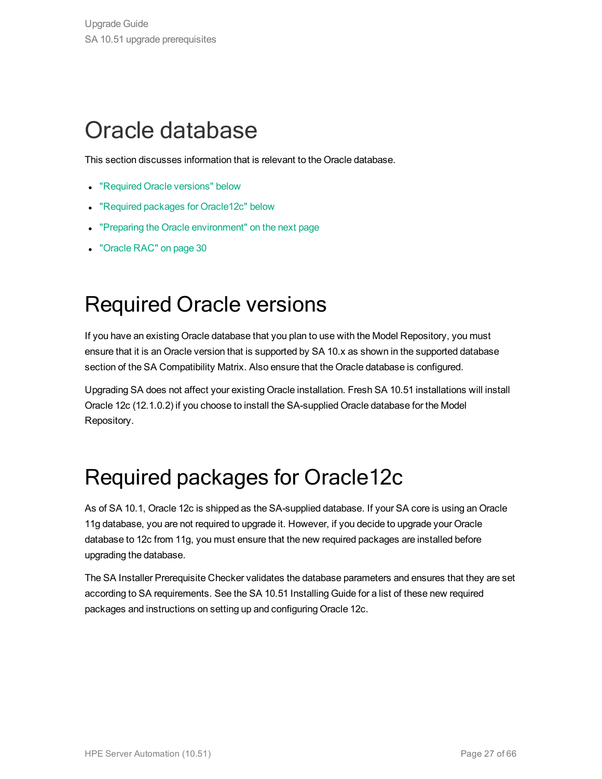### <span id="page-26-0"></span>Oracle database

This section discusses information that is relevant to the Oracle database.

- ["Required](#page-26-1) Oracle versions" below
- "Required packages for [Oracle12c"](#page-26-2) below
- "Preparing the Oracle [environment"](#page-27-0) on the next page
- <span id="page-26-1"></span>• ["Oracle](#page-29-0) RAC" on page 30

### Required Oracle versions

If you have an existing Oracle database that you plan to use with the Model Repository, you must ensure that it is an Oracle version that is supported by SA 10.x as shown in the supported database section of the SA Compatibility Matrix. Also ensure that the Oracle database is configured.

Upgrading SA does not affect your existing Oracle installation. Fresh SA 10.51 installations will install Oracle 12c (12.1.0.2) if you choose to install the SA-supplied Oracle database for the Model Repository.

### <span id="page-26-2"></span>Required packages for Oracle12c

As of SA 10.1, Oracle 12c is shipped as the SA-supplied database. If your SA core is using an Oracle 11g database, you are not required to upgrade it. However, if you decide to upgrade your Oracle database to 12c from 11g, you must ensure that the new required packages are installed before upgrading the database.

The SA Installer Prerequisite Checker validates the database parameters and ensures that they are set according to SA requirements. See the SA 10.51 Installing Guide for a list of these new required packages and instructions on setting up and configuring Oracle 12c.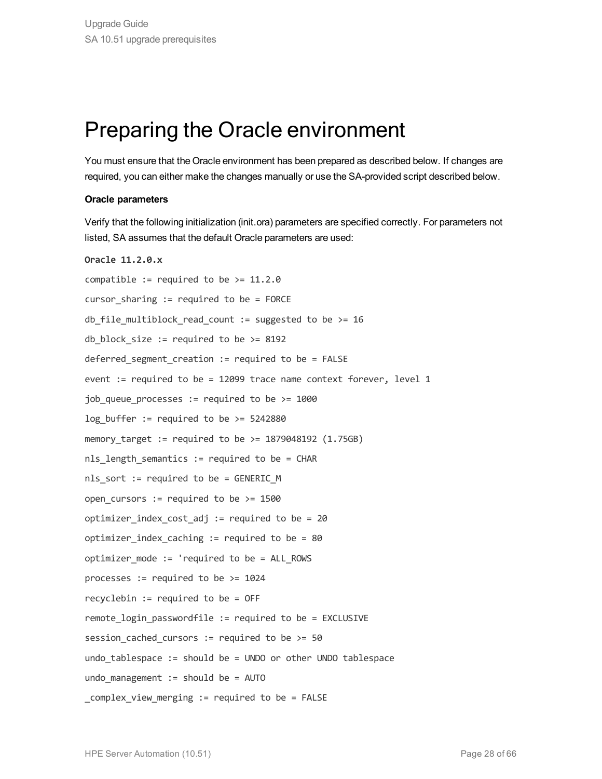### <span id="page-27-0"></span>Preparing the Oracle environment

You must ensure that the Oracle environment has been prepared as described below. If changes are required, you can either make the changes manually or use the SA-provided script described below.

#### **Oracle parameters**

Verify that the following initialization (init.ora) parameters are specified correctly. For parameters not listed, SA assumes that the default Oracle parameters are used:

```
Oracle 11.2.0.x
compatible := required to be >= 11.2.0cursor sharing := required to be = FORCE
db file multiblock read count := suggested to be > = 16db block size := required to be >= 8192deferred segment creation := required to be = FALSE
event := required to be = 12099 trace name context forever, level 1
job queue processes := required to be >= 1000
log buffer := required to be >= 5242880memory target := required to be >= 1879048192 (1.75GB)nls length semantics := required to be = CHAR
nls_sort := required to be = GENERIC_M
open cursors := required to be >= 1500optimizer index cost adj := required to be = 20
optimizer index caching := required to be = 80
optimizer mode := 'required to be = ALL ROWS
processes := required to be >= 1024recyclebin := required to be = OFF
remote login passwordfile := required to be = EXCLUSIVE
session cached cursors := required to be >= 50undo tablespace := should be = UNDO or other UNDO tablespace
undo management := should be = AUTO
complex view merging := required to be = FALSE
```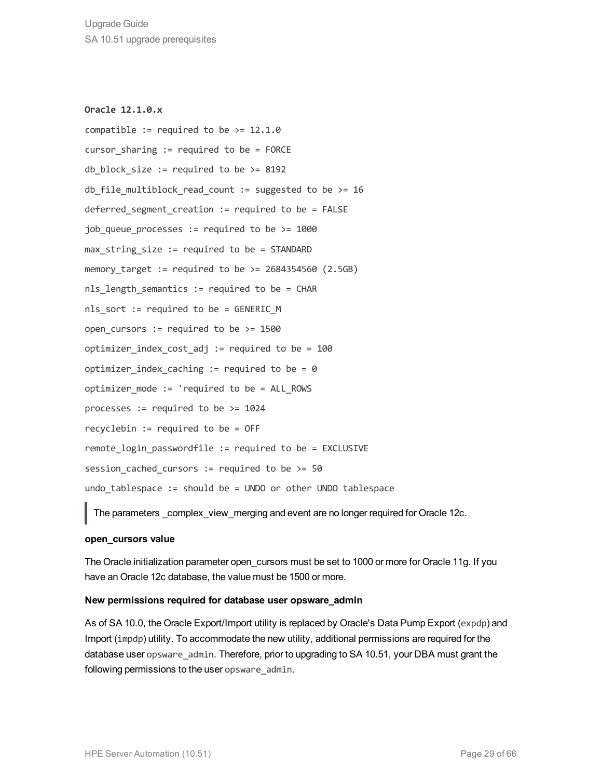**Oracle 12.1.0.x** compatible := required to be  $> = 12.1.0$ cursor sharing  $:=$  required to be = FORCE db block size := required to be  $>= 8192$ db file multiblock read count := suggested to be >= 16 deferred segment creation := required to be = FALSE job queue processes := required to be  $>= 1000$  $max$  string size := required to be = STANDARD memory target := required to be  $>= 2684354560 (2.5GB)$ nls length semantics := required to be = CHAR nls sort := required to be = GENERIC M open cursors  $:=$  required to be  $>= 1500$ optimizer index cost adj := required to be =  $100$ optimizer index caching := required to be = 0 optimizer mode := 'required to be = ALL ROWS processes  $:=$  required to be  $>=$  1024 recyclebin := required to be = OFF remote login passwordfile := required to be = EXCLUSIVE session cached cursors := required to be  $>= 50$ undo tablespace := should be = UNDO or other UNDO tablespace

The parameters \_complex\_view\_merging and event are no longer required for Oracle 12c.

#### **open\_cursors value**

The Oracle initialization parameter open\_cursors must be set to 1000 or more for Oracle 11g. If you have an Oracle 12c database, the value must be 1500 or more.

#### **New permissions required for database user opsware\_admin**

As of SA 10.0, the Oracle Export/Import utility is replaced by Oracle's Data Pump Export (expdp) and Import (impdp) utility. To accommodate the new utility, additional permissions are required for the database user opsware admin. Therefore, prior to upgrading to SA 10.51, your DBA must grant the following permissions to the user opsware admin.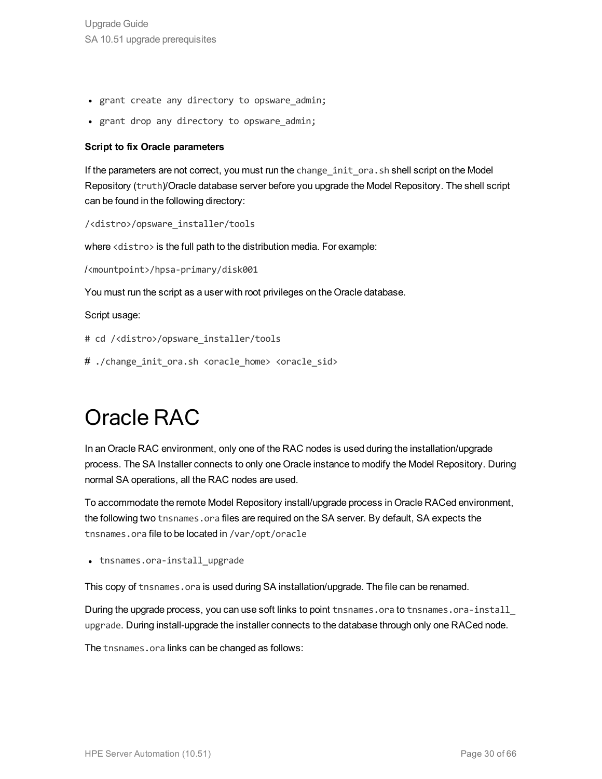- grant create any directory to opsware admin;
- grant drop any directory to opsware admin;

#### **Script to fix Oracle parameters**

If the parameters are not correct, you must run the change init ora.sh shell script on the Model Repository (truth)/Oracle database server before you upgrade the Model Repository. The shell script can be found in the following directory:

/<distro>/opsware\_installer/tools

where <distro> is the full path to the distribution media. For example:

/<mountpoint>/hpsa-primary/disk001

You must run the script as a user with root privileges on the Oracle database.

Script usage:

- # cd /<distro>/opsware\_installer/tools
- <span id="page-29-0"></span># ./change init ora.sh <oracle home> <oracle sid>

### Oracle RAC

In an Oracle RAC environment, only one of the RAC nodes is used during the installation/upgrade process. The SA Installer connects to only one Oracle instance to modify the Model Repository. During normal SA operations, all the RAC nodes are used.

To accommodate the remote Model Repository install/upgrade process in Oracle RACed environment, the following two tnsnames.ora files are required on the SA server. By default, SA expects the tnsnames.ora file to be located in /var/opt/oracle

• tnsnames.ora-install upgrade

This copy of tnsnames.ora is used during SA installation/upgrade. The file can be renamed.

During the upgrade process, you can use soft links to point tnsnames.ora to tnsnames.ora-install upgrade. During install-upgrade the installer connects to the database through only one RACed node.

The tnsnames.ora links can be changed as follows: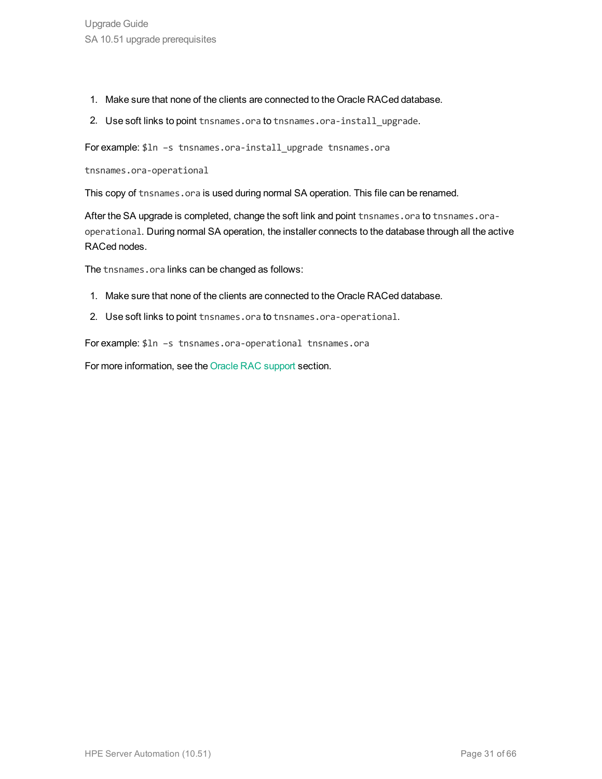- 1. Make sure that none of the clients are connected to the Oracle RACed database.
- 2. Use soft links to point tnsnames.ora to tnsnames.ora-install upgrade.

For example: \$1n -s tnsnames.ora-install upgrade tnsnames.ora

tnsnames.ora-operational

This copy of tnsnames.ora is used during normal SA operation. This file can be renamed.

After the SA upgrade is completed, change the soft link and point tnsnames.ora to tnsnames.oraoperational. During normal SA operation, the installer connects to the database through all the active RACed nodes.

The tnsnames.ora links can be changed as follows:

- 1. Make sure that none of the clients are connected to the Oracle RACed database.
- 2. Use soft links to point tnsnames.ora to tnsnames.ora-operational.

For example: \$ln –s tnsnames.ora-operational tnsnames.ora

For more information, see the Oracle RAC support section.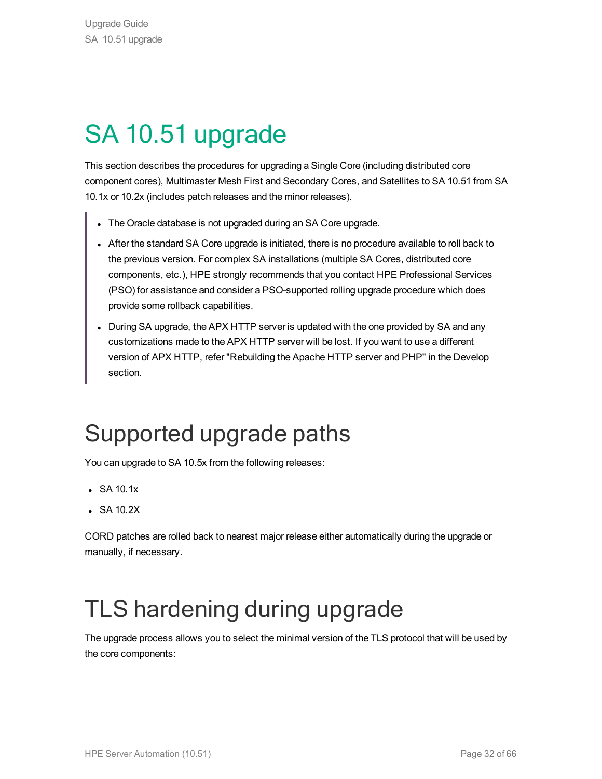## <span id="page-31-0"></span>SA 10.51 upgrade

This section describes the procedures for upgrading a Single Core (including distributed core component cores), Multimaster Mesh First and Secondary Cores, and Satellites to SA 10.51 from SA 10.1x or 10.2x (includes patch releases and the minor releases).

- The Oracle database is not upgraded during an SA Core upgrade.
- After the standard SA Core upgrade is initiated, there is no procedure available to roll back to the previous version. For complex SA installations (multiple SA Cores, distributed core components, etc.), HPE strongly recommends that you contact HPE Professional Services (PSO) for assistance and consider a PSO-supported rolling upgrade procedure which does provide some rollback capabilities.
- During SA upgrade, the APX HTTP server is updated with the one provided by SA and any customizations made to the APX HTTP server will be lost. If you want to use a different version of APX HTTP, refer "Rebuilding the Apache HTTP server and PHP" in the Develop section.

### <span id="page-31-1"></span>Supported upgrade paths

You can upgrade to SA 10.5x from the following releases:

- $\cdot$  SA 10.1x
- $\bullet$  SA 10.2X

CORD patches are rolled back to nearest major release either automatically during the upgrade or manually, if necessary.

### <span id="page-31-2"></span>TLS hardening during upgrade

The upgrade process allows you to select the minimal version of the TLS protocol that will be used by the core components: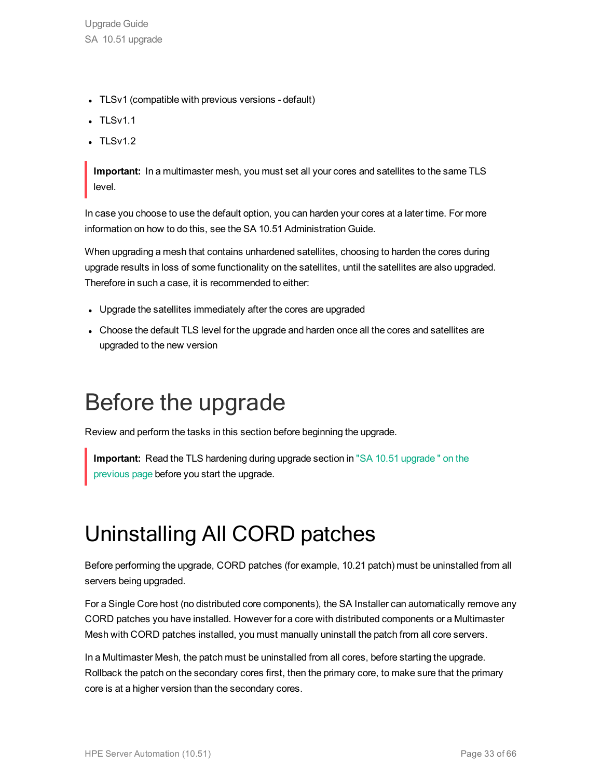- TLSv1 (compatible with previous versions default)
- $\cdot$  TLSv1.1
- $\cdot$  TLSv1.2

**Important:** In a multimaster mesh, you must set all your cores and satellites to the same TLS level.

In case you choose to use the default option, you can harden your cores at a later time. For more information on how to do this, see the SA 10.51 Administration Guide.

When upgrading a mesh that contains unhardened satellites, choosing to harden the cores during upgrade results in loss of some functionality on the satellites, until the satellites are also upgraded. Therefore in such a case, it is recommended to either:

- Upgrade the satellites immediately after the cores are upgraded
- Choose the default TLS level for the upgrade and harden once all the cores and satellites are upgraded to the new version

### <span id="page-32-0"></span>Before the upgrade

Review and perform the tasks in this section before beginning the upgrade.

<span id="page-32-1"></span>**Important:** Read the TLS hardening during upgrade section in "SA 10.51 [upgrade](#page-31-0) " on the [previous](#page-31-0) page before you start the upgrade.

### Uninstalling All CORD patches

Before performing the upgrade, CORD patches (for example, 10.21 patch) must be uninstalled from all servers being upgraded.

For a Single Core host (no distributed core components), the SA Installer can automatically remove any CORD patches you have installed. However for a core with distributed components or a Multimaster Mesh with CORD patches installed, you must manually uninstall the patch from all core servers.

In a Multimaster Mesh, the patch must be uninstalled from all cores, before starting the upgrade. Rollback the patch on the secondary cores first, then the primary core, to make sure that the primary core is at a higher version than the secondary cores.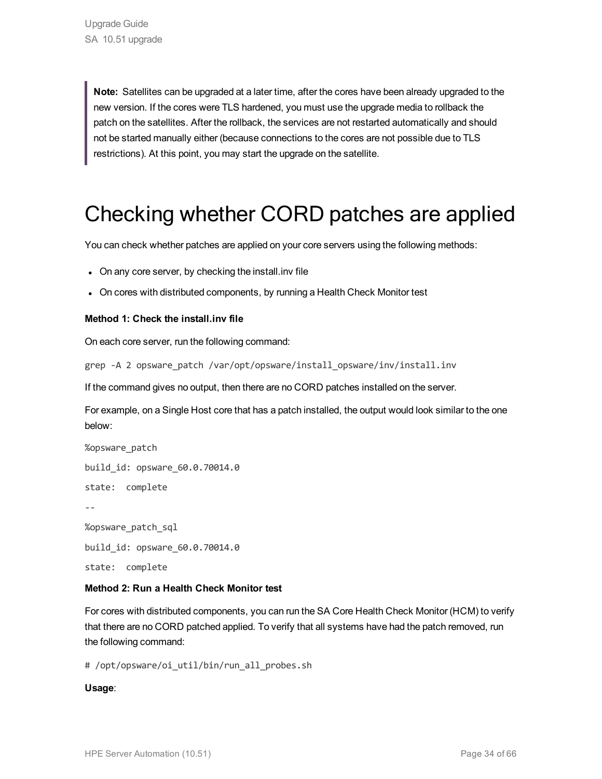**Note:** Satellites can be upgraded at a later time, after the cores have been already upgraded to the new version. If the cores were TLS hardened, you must use the upgrade media to rollback the patch on the satellites. After the rollback, the services are not restarted automatically and should not be started manually either (because connections to the cores are not possible due to TLS restrictions). At this point, you may start the upgrade on the satellite.

### Checking whether CORD patches are applied

You can check whether patches are applied on your core servers using the following methods:

- On any core server, by checking the install. inv file
- On cores with distributed components, by running a Health Check Monitor test

#### **Method 1: Check the install.inv file**

On each core server, run the following command:

grep -A 2 opsware patch /var/opt/opsware/install opsware/inv/install.inv

If the command gives no output, then there are no CORD patches installed on the server.

For example, on a Single Host core that has a patch installed, the output would look similar to the one below:

%opsware\_patch build\_id: opsware\_60.0.70014.0 state: complete -- %opsware\_patch\_sql build\_id: opsware\_60.0.70014.0 state: complete

#### **Method 2: Run a Health Check Monitor test**

For cores with distributed components, you can run the SA Core Health Check Monitor (HCM) to verify that there are no CORD patched applied. To verify that all systems have had the patch removed, run the following command:

# /opt/opsware/oi\_util/bin/run\_all\_probes.sh

#### **Usage**: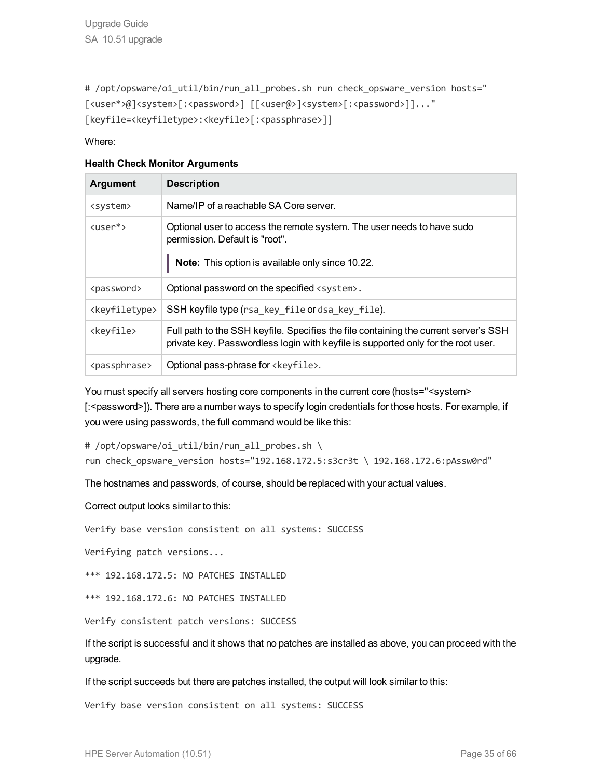# /opt/opsware/oi util/bin/run all probes.sh run check opsware version hosts=" [<user\*>@]<system>[:<password>] [[<user@>]<system>[:<password>]]..." [keyfile=<keyfiletype>:<keyfile>[:<passphrase>]]

Where:

#### **Health Check Monitor Arguments**

| <b>Argument</b>             | <b>Description</b>                                                                                                                                                        |
|-----------------------------|---------------------------------------------------------------------------------------------------------------------------------------------------------------------------|
| <system></system>           | Name/IP of a reachable SA Core server.                                                                                                                                    |
| $\langle$ user $*\rangle$   | Optional user to access the remote system. The user needs to have sudo<br>permission. Default is "root".<br>Note: This option is available only since 10.22.              |
| <password></password>       | Optional password on the specified <system>.</system>                                                                                                                     |
| <keyfiletype></keyfiletype> | SSH keyfile type (rsa_key_file or dsa_key_file).                                                                                                                          |
| <keyfile></keyfile>         | Full path to the SSH keyfile. Specifies the file containing the current server's SSH<br>private key. Passwordless login with keyfile is supported only for the root user. |
| <passphrase></passphrase>   | Optional pass-phrase for <keyfile>.</keyfile>                                                                                                                             |

You must specify all servers hosting core components in the current core (hosts="<system> [:<password>]). There are a number ways to specify login credentials for those hosts. For example, if you were using passwords, the full command would be like this:

# /opt/opsware/oi util/bin/run all probes.sh \

run check opsware version hosts="192.168.172.5:s3cr3t \ 192.168.172.6:pAssw0rd"

The hostnames and passwords, of course, should be replaced with your actual values.

Correct output looks similar to this:

Verify base version consistent on all systems: SUCCESS

Verifying patch versions...

\*\*\* 192.168.172.5: NO PATCHES INSTALLED

\*\*\* 192.168.172.6: NO PATCHES INSTALLED

Verify consistent patch versions: SUCCESS

If the script is successful and it shows that no patches are installed as above, you can proceed with the upgrade.

If the script succeeds but there are patches installed, the output will look similar to this:

Verify base version consistent on all systems: SUCCESS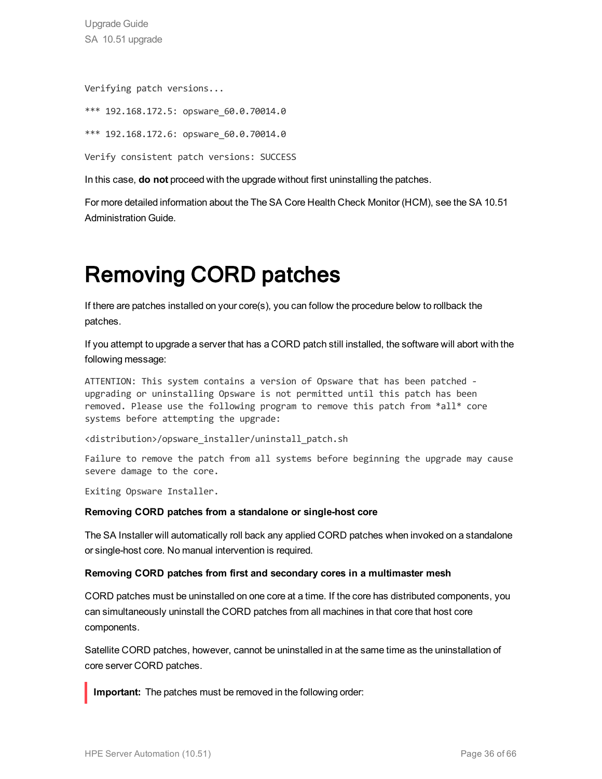Upgrade Guide SA 10.51 upgrade

Verifying patch versions...

```
*** 192.168.172.5: opsware_60.0.70014.0
```
\*\*\* 192.168.172.6: opsware\_60.0.70014.0

Verify consistent patch versions: SUCCESS

In this case, **do not** proceed with the upgrade without first uninstalling the patches.

<span id="page-35-0"></span>For more detailed information about the The SA Core Health Check Monitor (HCM), see the SA 10.51 Administration Guide.

### Removing CORD patches

If there are patches installed on your core(s), you can follow the procedure below to rollback the patches.

If you attempt to upgrade a server that has a CORD patch still installed, the software will abort with the following message:

ATTENTION: This system contains a version of Opsware that has been patched upgrading or uninstalling Opsware is not permitted until this patch has been removed. Please use the following program to remove this patch from \*all\* core systems before attempting the upgrade:

<distribution>/opsware\_installer/uninstall\_patch.sh

Failure to remove the patch from all systems before beginning the upgrade may cause severe damage to the core.

Exiting Opsware Installer.

#### **Removing CORD patches from a standalone or single-host core**

The SA Installer will automatically roll back any applied CORD patches when invoked on a standalone or single-host core. No manual intervention is required.

#### **Removing CORD patches from first and secondary cores in a multimaster mesh**

CORD patches must be uninstalled on one core at a time. If the core has distributed components, you can simultaneously uninstall the CORD patches from all machines in that core that host core components.

Satellite CORD patches, however, cannot be uninstalled in at the same time as the uninstallation of core server CORD patches.

**Important:** The patches must be removed in the following order: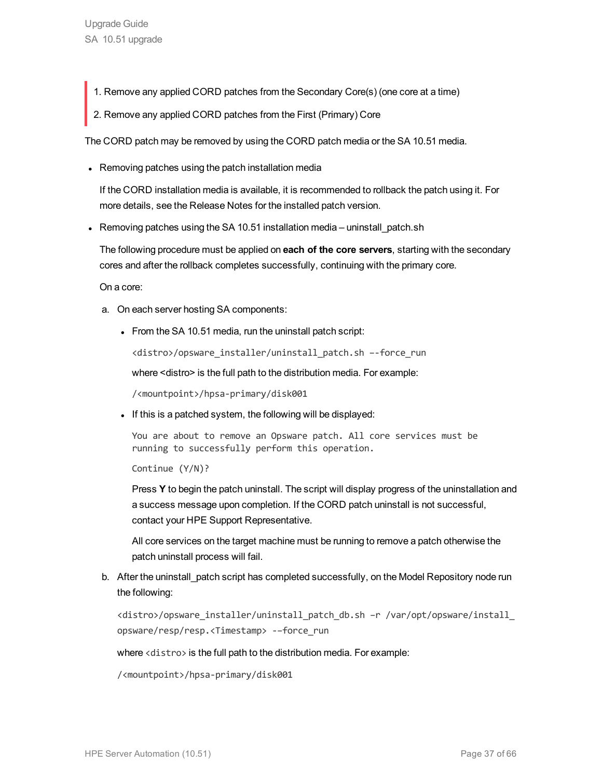- 1. Remove any applied CORD patches from the Secondary Core(s) (one core at a time)
- 2. Remove any applied CORD patches from the First (Primary) Core

The CORD patch may be removed by using the CORD patch media or the SA 10.51 media.

• Removing patches using the patch installation media

If the CORD installation media is available, it is recommended to rollback the patch using it. For more details, see the Release Notes for the installed patch version.

• Removing patches using the SA 10.51 installation media – uninstall\_patch.sh

The following procedure must be applied on **each of the core servers**, starting with the secondary cores and after the rollback completes successfully, continuing with the primary core.

On a core:

- a. On each server hosting SA components:
	- $\bullet$  From the SA 10.51 media, run the uninstall patch script:

<distro>/opsware\_installer/uninstall\_patch.sh –-force\_run

where <distro> is the full path to the distribution media. For example:

/<mountpoint>/hpsa-primary/disk001

If this is a patched system, the following will be displayed:

You are about to remove an Opsware patch. All core services must be running to successfully perform this operation.

Continue (Y/N)?

Press **Y** to begin the patch uninstall. The script will display progress of the uninstallation and a success message upon completion. If the CORD patch uninstall is not successful, contact your HPE Support Representative.

All core services on the target machine must be running to remove a patch otherwise the patch uninstall process will fail.

b. After the uninstall\_patch script has completed successfully, on the Model Repository node run the following:

<distro>/opsware\_installer/uninstall\_patch\_db.sh –r /var/opt/opsware/install\_ opsware/resp/resp.<Timestamp> -–force\_run

where <distro> is the full path to the distribution media. For example:

/<mountpoint>/hpsa-primary/disk001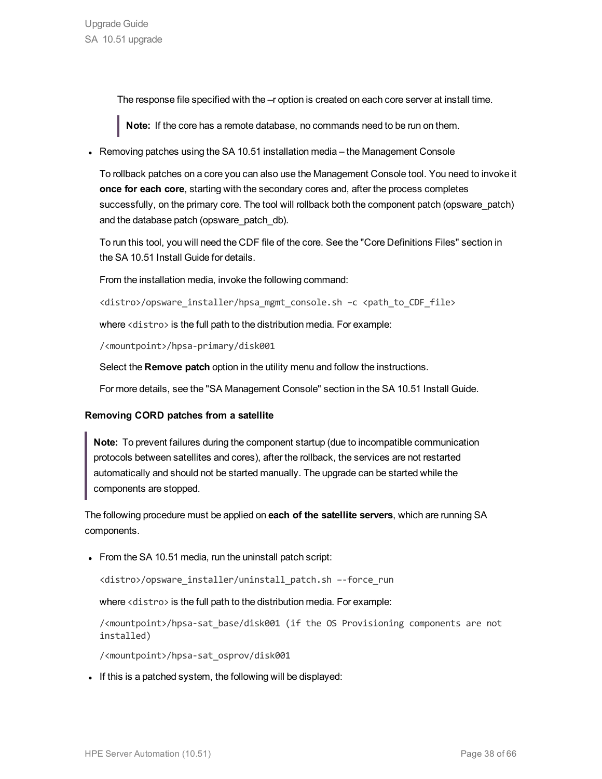The response file specified with the  $-r$  option is created on each core server at install time.

**Note:** If the core has a remote database, no commands need to be run on them.

• Removing patches using the SA 10.51 installation media – the Management Console

To rollback patches on a core you can also use the Management Console tool. You need to invoke it **once for each core**, starting with the secondary cores and, after the process completes successfully, on the primary core. The tool will rollback both the component patch (opsware\_patch) and the database patch (opsware\_patch\_db).

To run this tool, you will need the CDF file of the core. See the "Core Definitions Files" section in the SA 10.51 Install Guide for details.

From the installation media, invoke the following command:

<distro>/opsware\_installer/hpsa\_mgmt\_console.sh -c <path\_to\_CDF\_file>

where <distro> is the full path to the distribution media. For example:

/<mountpoint>/hpsa-primary/disk001

Select the **Remove patch** option in the utility menu and follow the instructions.

For more details, see the "SA Management Console" section in the SA 10.51 Install Guide.

#### **Removing CORD patches from a satellite**

**Note:** To prevent failures during the component startup (due to incompatible communication protocols between satellites and cores), after the rollback, the services are not restarted automatically and should not be started manually. The upgrade can be started while the components are stopped.

The following procedure must be applied on **each of the satellite servers**, which are running SA components.

• From the SA 10.51 media, run the uninstall patch script:

<distro>/opsware\_installer/uninstall\_patch.sh –-force\_run

where <distro> is the full path to the distribution media. For example:

/<mountpoint>/hpsa-sat\_base/disk001 (if the OS Provisioning components are not installed)

/<mountpoint>/hpsa-sat\_osprov/disk001

If this is a patched system, the following will be displayed: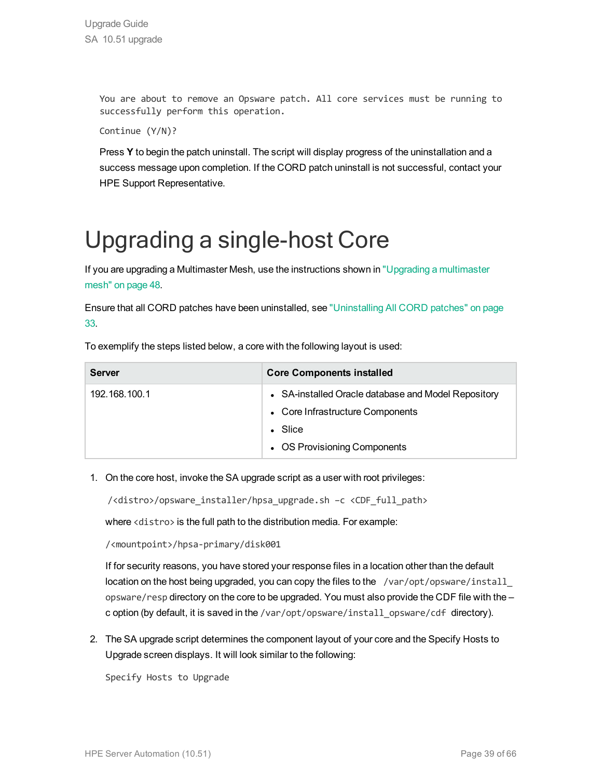You are about to remove an Opsware patch. All core services must be running to successfully perform this operation.

```
Continue (Y/N)?
```
Press **Y** to begin the patch uninstall. The script will display progress of the uninstallation and a success message upon completion. If the CORD patch uninstall is not successful, contact your HPE Support Representative.

### <span id="page-38-0"></span>Upgrading a single-host Core

If you are upgrading a Multimaster Mesh, use the instructions shown in "Upgrading a [multimaster](#page-47-0) [mesh"](#page-47-0) on page 48.

Ensure that all CORD patches have been uninstalled, see ["Uninstalling](#page-32-1) All CORD patches" on page [33.](#page-32-1)

To exemplify the steps listed below, a core with the following layout is used:

| <b>Server</b> | <b>Core Components installed</b>                                                                                                           |
|---------------|--------------------------------------------------------------------------------------------------------------------------------------------|
| 192.168.100.1 | • SA-installed Oracle database and Model Repository<br>• Core Infrastructure Components<br>$\bullet$ Slice<br>• OS Provisioning Components |

1. On the core host, invoke the SA upgrade script as a user with root privileges:

/<distro>/opsware\_installer/hpsa\_upgrade.sh –c <CDF\_full\_path>

where <distro> is the full path to the distribution media. For example:

/<mountpoint>/hpsa-primary/disk001

If for security reasons, you have stored your response files in a location other than the default location on the host being upgraded, you can copy the files to the /var/opt/opsware/install\_ opsware/resp directory on the core to be upgraded. You must also provide the CDF file with the – c option (by default, it is saved in the /var/opt/opsware/install\_opsware/cdf\_directory).

2. The SA upgrade script determines the component layout of your core and the Specify Hosts to Upgrade screen displays. It will look similar to the following:

Specify Hosts to Upgrade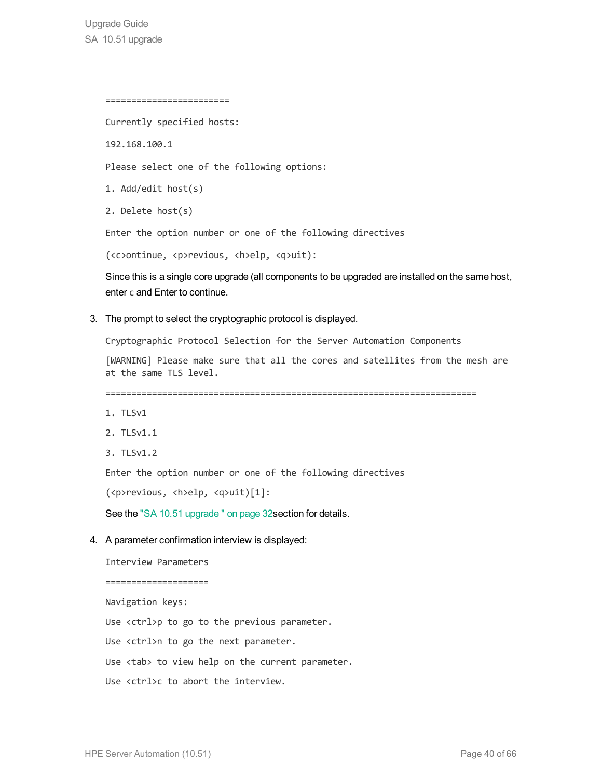```
========================
```
Currently specified hosts:

192.168.100.1

Please select one of the following options:

1. Add/edit host(s)

2. Delete host(s)

Enter the option number or one of the following directives

(<c>ontinue, <p>revious, <h>elp, <q>uit):

Since this is a single core upgrade (all components to be upgraded are installed on the same host, enter c and Enter to continue.

3. The prompt to select the cryptographic protocol is displayed.

Cryptographic Protocol Selection for the Server Automation Components

[WARNING] Please make sure that all the cores and satellites from the mesh are at the same TLS level.

========================================================================

- 1. TLSv1
- 2. TLSv1.1
- 3. TLSv1.2

Enter the option number or one of the following directives

(<p>revious, <h>elp, <q>uit)[1]:

See the "SA 10.51 [upgrade](#page-31-0) " on page 32section for details.

#### 4. A parameter confirmation interview is displayed:

Interview Parameters ==================== Navigation keys: Use <ctrl>p to go to the previous parameter. Use <ctrl>n to go the next parameter. Use <tab> to view help on the current parameter. Use <ctrl>c to abort the interview.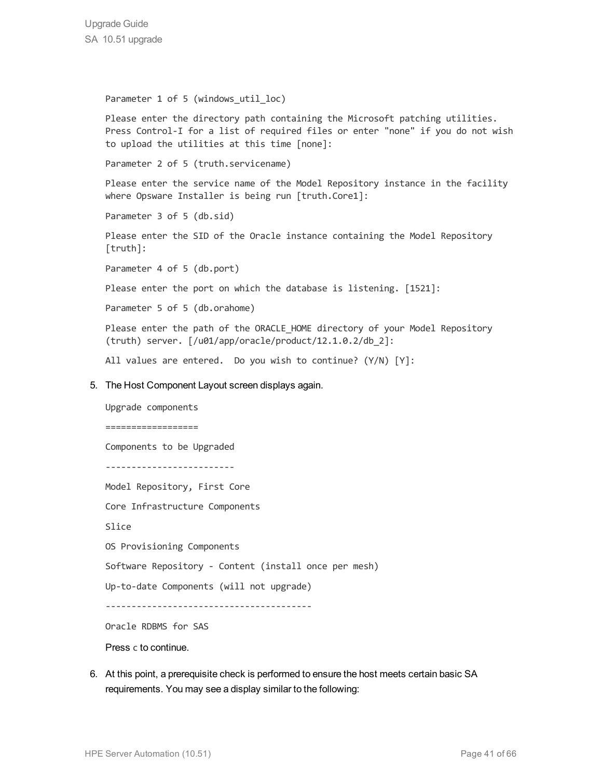```
Parameter 1 of 5 (windows util loc)
```
Please enter the directory path containing the Microsoft patching utilities. Press Control-I for a list of required files or enter "none" if you do not wish to upload the utilities at this time [none]:

Parameter 2 of 5 (truth.servicename)

Please enter the service name of the Model Repository instance in the facility where Opsware Installer is being run [truth.Core1]:

Parameter 3 of 5 (db.sid)

Please enter the SID of the Oracle instance containing the Model Repository [truth]:

Parameter 4 of 5 (db.port)

Please enter the port on which the database is listening. [1521]:

Parameter 5 of 5 (db.orahome)

Please enter the path of the ORACLE HOME directory of your Model Repository (truth) server. [/u01/app/oracle/product/12.1.0.2/db\_2]:

All values are entered. Do you wish to continue? (Y/N) [Y]:

#### 5. The Host Component Layout screen displays again.

Upgrade components

==================

Components to be Upgraded

-------------------------

Model Repository, First Core

Core Infrastructure Components

Slice

OS Provisioning Components

Software Repository - Content (install once per mesh)

```
Up-to-date Components (will not upgrade)
```
----------------------------------------

Oracle RDBMS for SAS

Press c to continue.

6. At this point, a prerequisite check is performed to ensure the host meets certain basic SA requirements. You may see a display similar to the following: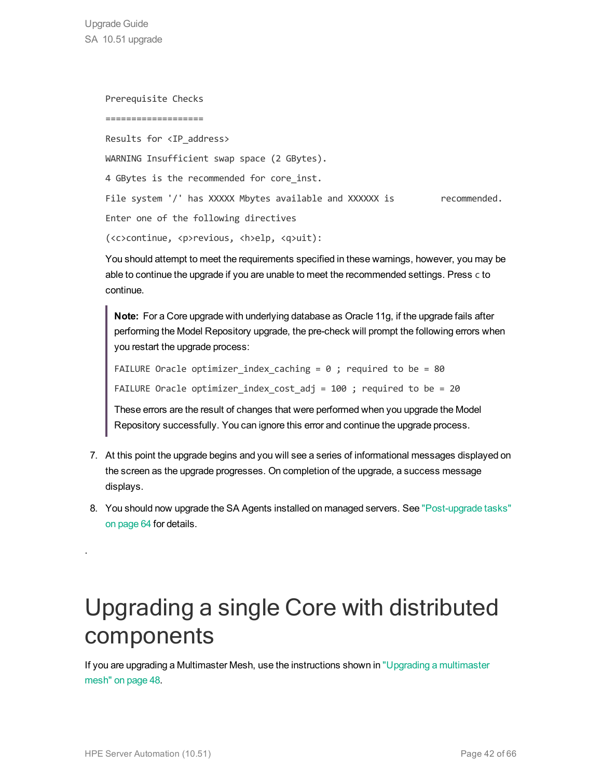Upgrade Guide SA 10.51 upgrade

> Prerequisite Checks =================== Results for <IP\_address> WARNING Insufficient swap space (2 GBytes). 4 GBytes is the recommended for core inst. File system '/' has XXXXX Mbytes available and XXXXXX is recommended. Enter one of the following directives (<c>continue, <p>revious, <h>elp, <q>uit):

> You should attempt to meet the requirements specified in these warnings, however, you may be able to continue the upgrade if you are unable to meet the recommended settings. Press c to continue.

**Note:** For a Core upgrade with underlying database as Oracle 11g, if the upgrade fails after performing the Model Repository upgrade, the pre-check will prompt the following errors when you restart the upgrade process:

```
FAILURE Oracle optimizer index caching = 0 ; required to be = 80
```

```
FAILURE Oracle optimizer index cost adj = 100 ; required to be = 20
```
These errors are the result of changes that were performed when you upgrade the Model Repository successfully. You can ignore this error and continue the upgrade process.

- 7. At this point the upgrade begins and you will see a series of informational messages displayed on the screen as the upgrade progresses. On completion of the upgrade, a success message displays.
- 8. You should now upgrade the SA Agents installed on managed servers. See ["Post-upgrade](#page-63-0) tasks" on [page](#page-63-0) 64 for details.

### Upgrading a single Core with distributed components

If you are upgrading a Multimaster Mesh, use the instructions shown in "Upgrading a [multimaster](#page-47-0) [mesh"](#page-47-0) on page 48.

<span id="page-41-0"></span>.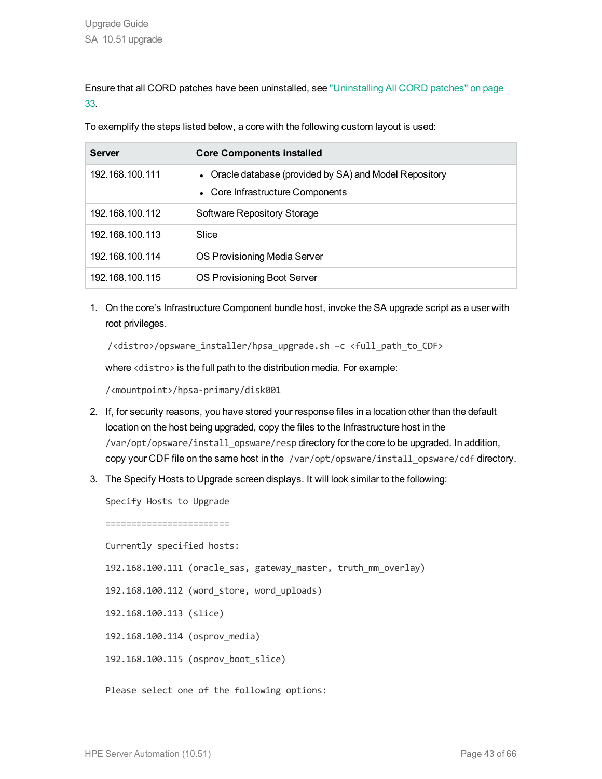Ensure that all CORD patches have been uninstalled, see ["Uninstalling](#page-32-1) All CORD patches" on page [33.](#page-32-1)

To exemplify the steps listed below, a core with the following custom layout is used:

| <b>Server</b>   | <b>Core Components installed</b>                                                            |
|-----------------|---------------------------------------------------------------------------------------------|
| 192.168.100.111 | • Oracle database (provided by SA) and Model Repository<br>• Core Infrastructure Components |
| 192.168.100.112 | Software Repository Storage                                                                 |
| 192.168.100.113 | Slice                                                                                       |
| 192.168.100.114 | OS Provisioning Media Server                                                                |
| 192.168.100.115 | OS Provisioning Boot Server                                                                 |

1. On the core's Infrastructure Component bundle host, invoke the SA upgrade script as a user with root privileges.

/<distro>/opsware\_installer/hpsa\_upgrade.sh –c <full\_path\_to\_CDF>

where <distro> is the full path to the distribution media. For example:

/<mountpoint>/hpsa-primary/disk001

- 2. If, for security reasons, you have stored your response files in a location other than the default location on the host being upgraded, copy the files to the Infrastructure host in the /var/opt/opsware/install\_opsware/resp directory for the core to be upgraded. In addition, copy your CDF file on the same host in the /var/opt/opsware/install\_opsware/cdf directory.
- 3. The Specify Hosts to Upgrade screen displays. It will look similar to the following:

Specify Hosts to Upgrade

======================== Currently specified hosts:

192.168.100.111 (oracle\_sas, gateway\_master, truth\_mm\_overlay)

192.168.100.112 (word\_store, word\_uploads)

192.168.100.113 (slice)

192.168.100.114 (osprov\_media)

192.168.100.115 (osprov\_boot\_slice)

Please select one of the following options: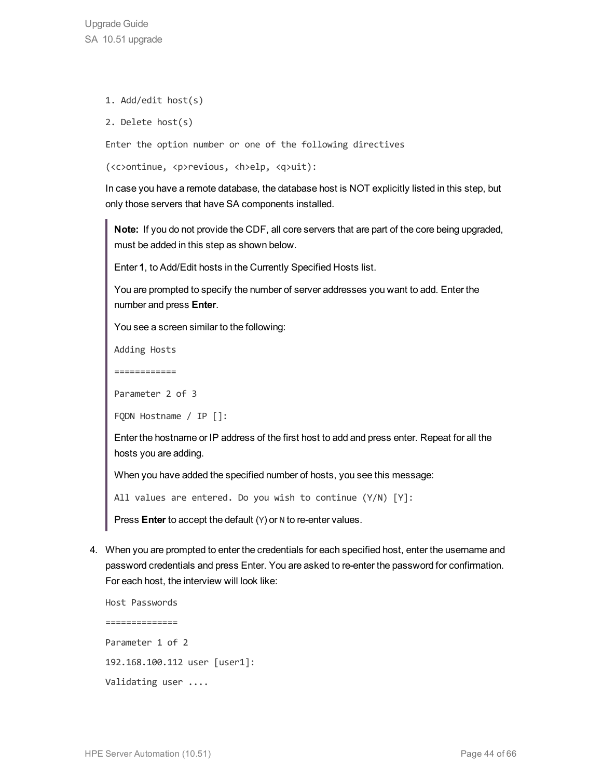- 1. Add/edit host(s)
- 2. Delete host(s)

Enter the option number or one of the following directives

```
(<c>ontinue, <p>revious, <h>elp, <q>uit):
```
In case you have a remote database, the database host is NOT explicitly listed in this step, but only those servers that have SA components installed.

**Note:** If you do not provide the CDF, all core servers that are part of the core being upgraded, must be added in this step as shown below.

Enter **1**, to Add/Edit hosts in the Currently Specified Hosts list.

You are prompted to specify the number of server addresses you want to add. Enter the number and press **Enter**.

You see a screen similar to the following:

Adding Hosts

============

Parameter 2 of 3

FQDN Hostname / IP []:

Enter the hostname or IP address of the first host to add and press enter. Repeat for all the hosts you are adding.

When you have added the specified number of hosts, you see this message:

All values are entered. Do you wish to continue (Y/N) [Y]:

Press **Enter** to accept the default (Y) or N to re-enter values.

4. When you are prompted to enter the credentials for each specified host, enter the username and password credentials and press Enter. You are asked to re-enter the password for confirmation. For each host, the interview will look like:

Host Passwords ============== Parameter 1 of 2 192.168.100.112 user [user1]: Validating user ....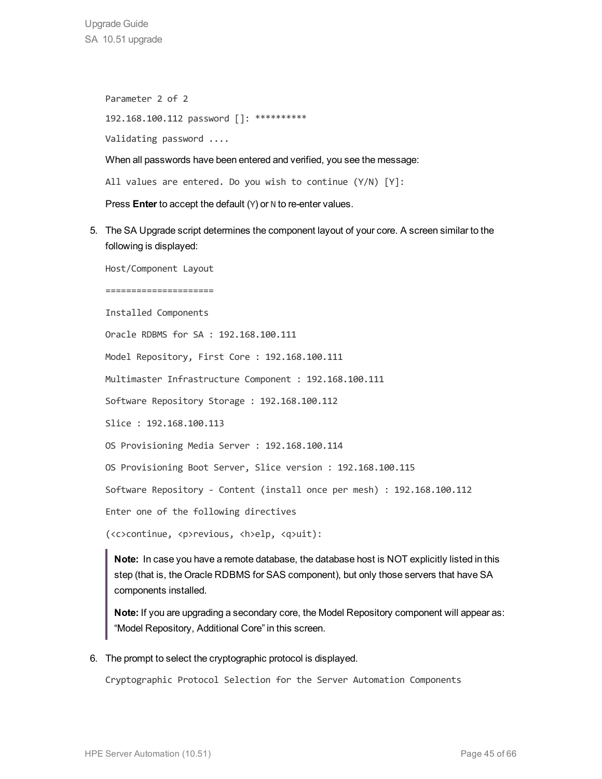Upgrade Guide SA 10.51 upgrade

> Parameter 2 of 2 192.168.100.112 password []: \*\*\*\*\*\*\*\*\*\* Validating password ....

When all passwords have been entered and verified, you see the message:

All values are entered. Do you wish to continue (Y/N) [Y]:

Press **Enter** to accept the default (Y) or N to re-enter values.

5. The SA Upgrade script determines the component layout of your core. A screen similar to the following is displayed:

Host/Component Layout

=====================

Installed Components

Oracle RDBMS for SA : 192.168.100.111

Model Repository, First Core : 192.168.100.111

Multimaster Infrastructure Component : 192.168.100.111

Software Repository Storage : 192.168.100.112

Slice : 192.168.100.113

OS Provisioning Media Server : 192.168.100.114

OS Provisioning Boot Server, Slice version : 192.168.100.115

Software Repository - Content (install once per mesh) : 192.168.100.112

Enter one of the following directives

(<c>continue, <p>revious, <h>elp, <q>uit):

**Note:** In case you have a remote database, the database host is NOT explicitly listed in this step (that is, the Oracle RDBMS for SAS component), but only those servers that have SA components installed.

**Note:** If you are upgrading a secondary core, the Model Repository component will appear as: "Model Repository, Additional Core" in this screen.

6. The prompt to select the cryptographic protocol is displayed.

Cryptographic Protocol Selection for the Server Automation Components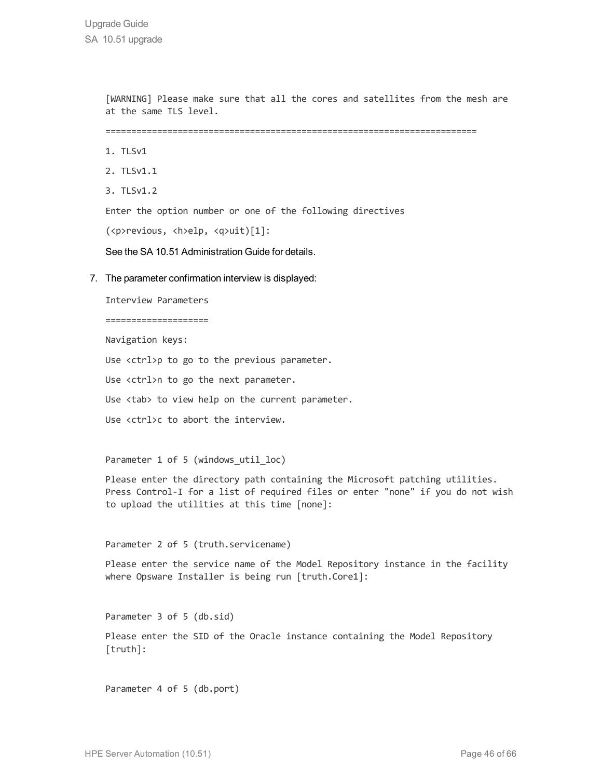[WARNING] Please make sure that all the cores and satellites from the mesh are at the same TLS level.

========================================================================

- 1. TLSv1
- 2. TLSv1.1
- 3. TLSv1.2

Enter the option number or one of the following directives

(<p>revious, <h>elp, <q>uit)[1]:

See the SA 10.51 Administration Guide for details.

7. The parameter confirmation interview is displayed:

Interview Parameters

====================

Navigation keys:

Use <ctrl>p to go to the previous parameter.

Use <ctrl>n to go the next parameter.

Use <tab> to view help on the current parameter.

Use <ctrl>c to abort the interview.

Parameter 1 of 5 (windows\_util\_loc)

Please enter the directory path containing the Microsoft patching utilities. Press Control-I for a list of required files or enter "none" if you do not wish to upload the utilities at this time [none]:

Parameter 2 of 5 (truth.servicename)

Please enter the service name of the Model Repository instance in the facility where Opsware Installer is being run [truth.Core1]:

Parameter 3 of 5 (db.sid)

Please enter the SID of the Oracle instance containing the Model Repository [truth]:

Parameter 4 of 5 (db.port)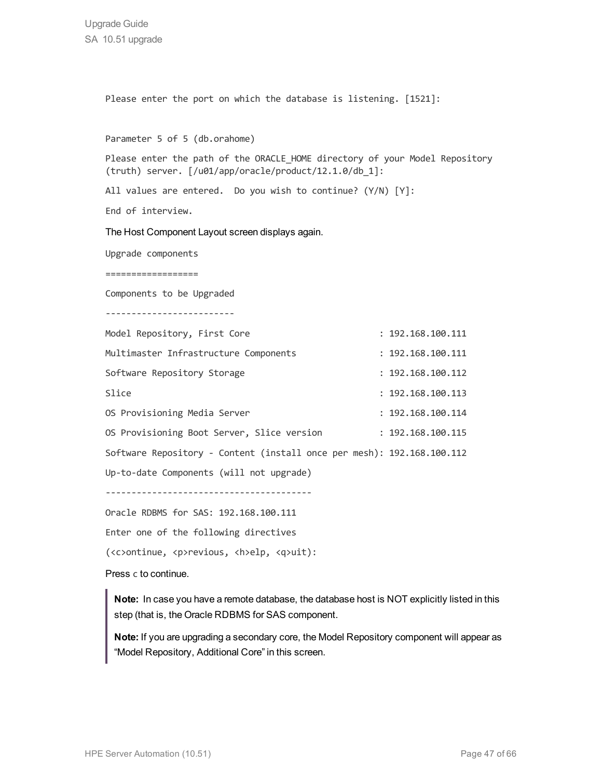Please enter the port on which the database is listening. [1521]: Parameter 5 of 5 (db.orahome) Please enter the path of the ORACLE HOME directory of your Model Repository (truth) server. [/u01/app/oracle/product/12.1.0/db\_1]: All values are entered. Do you wish to continue? (Y/N) [Y]: End of interview. The Host Component Layout screen displays again. Upgrade components ================== Components to be Upgraded ------------------------- Model Repository, First Core : 192.168.100.111 Multimaster Infrastructure Components : 192.168.100.111 Software Repository Storage : 192.168.100.112 Slice : 192.168.100.113 OS Provisioning Media Server : 192.168.100.114 OS Provisioning Boot Server, Slice version : 192.168.100.115 Software Repository - Content (install once per mesh): 192.168.100.112 Up-to-date Components (will not upgrade) ---------------------------------------- Oracle RDBMS for SAS: 192.168.100.111 Enter one of the following directives (<c>ontinue, <p>revious, <h>elp, <q>uit):

Press c to continue.

**Note:** In case you have a remote database, the database host is NOT explicitly listed in this step (that is, the Oracle RDBMS for SAS component.

**Note:** If you are upgrading a secondary core, the Model Repository component will appear as "Model Repository, Additional Core" in this screen.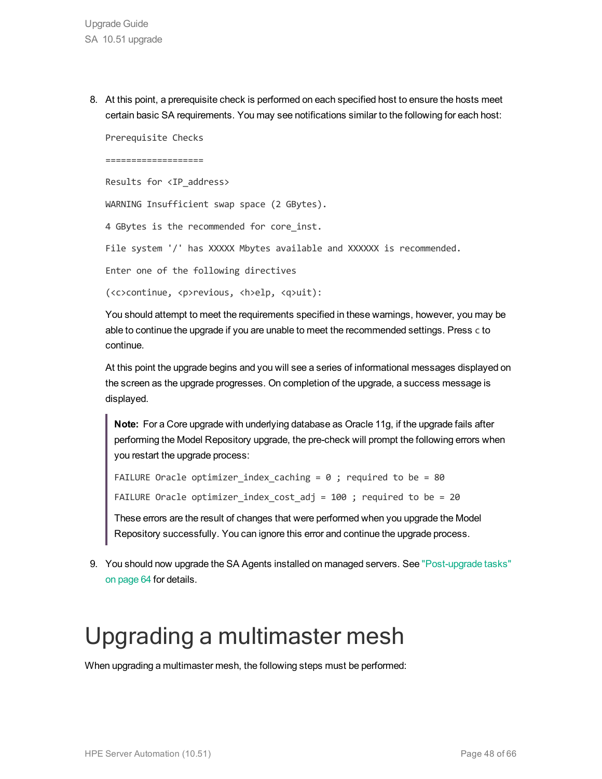8. At this point, a prerequisite check is performed on each specified host to ensure the hosts meet certain basic SA requirements. You may see notifications similar to the following for each host:

Prerequisite Checks

===================

Results for <IP\_address>

WARNING Insufficient swap space (2 GBytes).

4 GBytes is the recommended for core inst.

File system '/' has XXXXX Mbytes available and XXXXXX is recommended.

Enter one of the following directives

(<c>continue, <p>revious, <h>elp, <q>uit):

You should attempt to meet the requirements specified in these warnings, however, you may be able to continue the upgrade if you are unable to meet the recommended settings. Press c to continue.

At this point the upgrade begins and you will see a series of informational messages displayed on the screen as the upgrade progresses. On completion of the upgrade, a success message is displayed.

**Note:** For a Core upgrade with underlying database as Oracle 11g, if the upgrade fails after performing the Model Repository upgrade, the pre-check will prompt the following errors when you restart the upgrade process:

```
FAILURE Oracle optimizer index caching = 0 ; required to be = 80
```
FAILURE Oracle optimizer index cost adj = 100 ; required to be = 20

These errors are the result of changes that were performed when you upgrade the Model Repository successfully. You can ignore this error and continue the upgrade process.

9. You should now upgrade the SA Agents installed on managed servers. See ["Post-upgrade](#page-63-0) tasks" on [page](#page-63-0) 64 for details.

### <span id="page-47-0"></span>Upgrading a multimaster mesh

When upgrading a multimaster mesh, the following steps must be performed: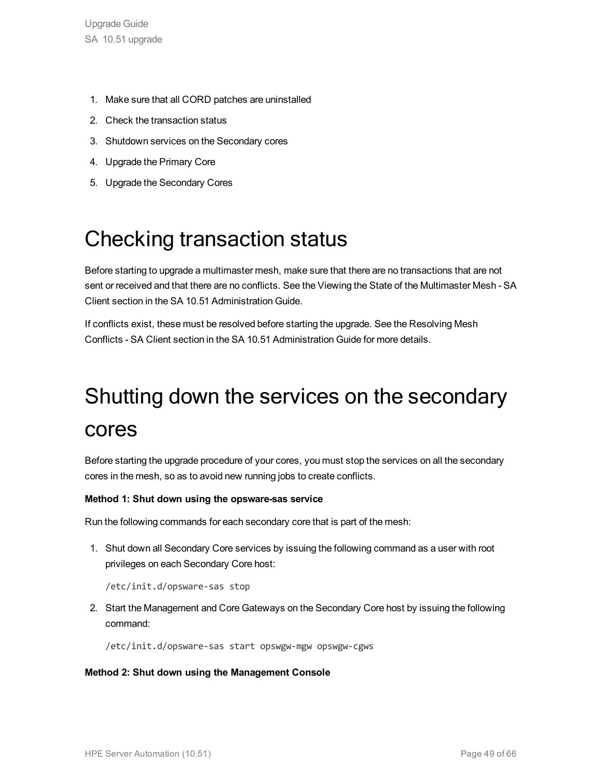- 1. Make sure that all CORD patches are uninstalled
- 2. Check the transaction status
- 3. Shutdown services on the Secondary cores
- 4. Upgrade the Primary Core
- <span id="page-48-0"></span>5. Upgrade the Secondary Cores

### Checking transaction status

Before starting to upgrade a multimaster mesh, make sure that there are no transactions that are not sent or received and that there are no conflicts. See the Viewing the State of the Multimaster Mesh - SA Client section in the SA 10.51 Administration Guide.

<span id="page-48-1"></span>If conflicts exist, these must be resolved before starting the upgrade. See the Resolving Mesh Conflicts - SA Client section in the SA 10.51 Administration Guide for more details.

## Shutting down the services on the secondary cores

Before starting the upgrade procedure of your cores, you must stop the services on all the secondary cores in the mesh, so as to avoid new running jobs to create conflicts.

#### **Method 1: Shut down using the opsware-sas service**

Run the following commands for each secondary core that is part of the mesh:

1. Shut down all Secondary Core services by issuing the following command as a user with root privileges on each Secondary Core host:

/etc/init.d/opsware-sas stop

2. Start the Management and Core Gateways on the Secondary Core host by issuing the following command:

/etc/init.d/opsware-sas start opswgw-mgw opswgw-cgws

#### **Method 2: Shut down using the Management Console**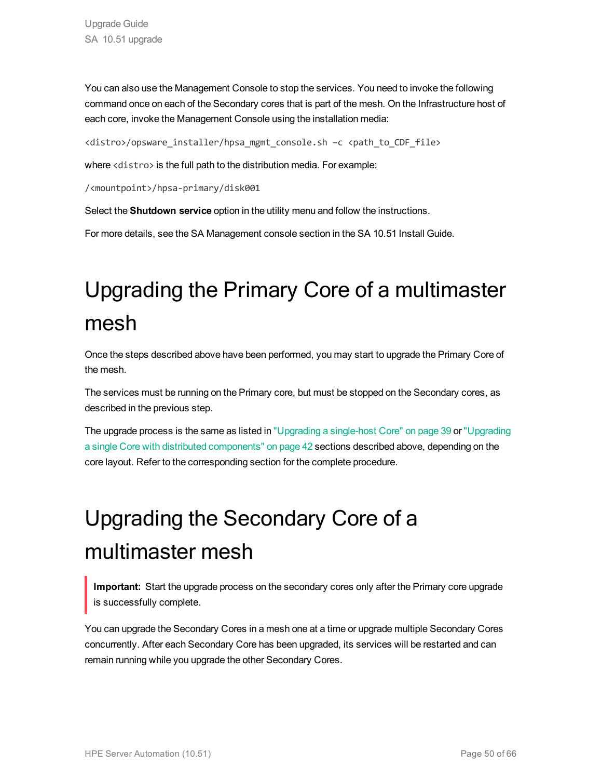You can also use the Management Console to stop the services. You need to invoke the following command once on each of the Secondary cores that is part of the mesh. On the Infrastructure host of each core, invoke the Management Console using the installation media:

<distro>/opsware\_installer/hpsa\_mgmt\_console.sh –c <path\_to\_CDF\_file>

where <distro> is the full path to the distribution media. For example:

/<mountpoint>/hpsa-primary/disk001

Select the **Shutdown service** option in the utility menu and follow the instructions.

<span id="page-49-0"></span>For more details, see the SA Management console section in the SA 10.51 Install Guide.

### Upgrading the Primary Core of a multimaster mesh

Once the steps described above have been performed, you may start to upgrade the Primary Core of the mesh.

The services must be running on the Primary core, but must be stopped on the Secondary cores, as described in the previous step.

The upgrade process is the same as listed in ["Upgrading](#page-38-0) a single-host Core" on page 39 or ["Upgrading](#page-41-0) a single Core with distributed [components"](#page-41-0) on page 42 sections described above, depending on the core layout. Refer to the corresponding section for the complete procedure.

### <span id="page-49-1"></span>Upgrading the Secondary Core of a multimaster mesh

**Important:** Start the upgrade process on the secondary cores only after the Primary core upgrade is successfully complete.

You can upgrade the Secondary Cores in a mesh one at a time or upgrade multiple Secondary Cores concurrently. After each Secondary Core has been upgraded, its services will be restarted and can remain running while you upgrade the other Secondary Cores.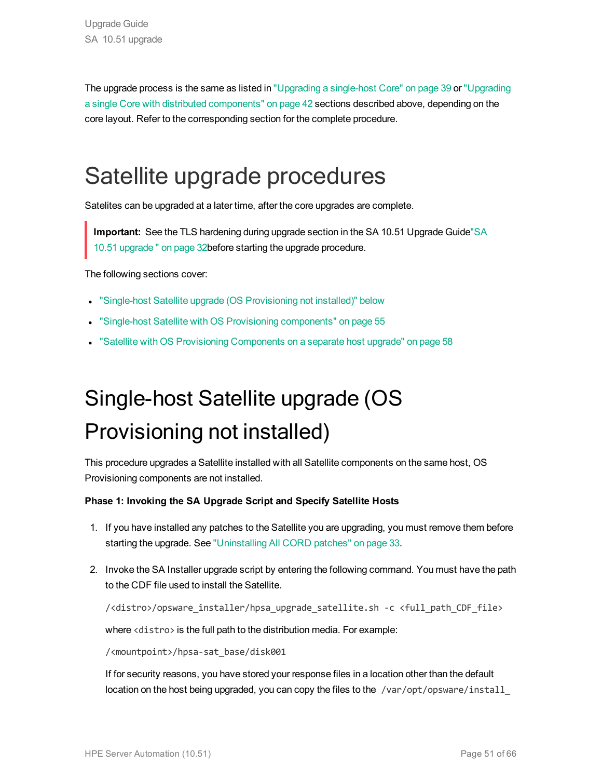The upgrade process is the same as listed in ["Upgrading](#page-38-0) a single-host Core" on page 39 or ["Upgrading](#page-41-0) a single Core with distributed [components"](#page-41-0) on page 42 sections described above, depending on the core layout. Refer to the corresponding section for the complete procedure.

### <span id="page-50-0"></span>Satellite upgrade procedures

Satelites can be upgraded at a later time, after the core upgrades are complete.

**Important:** See the TLS hardening during upgrade section in the SA 10.51 Upgrade Guid[e"SA](#page-31-0) 10.51 [upgrade](#page-31-0) " on page 32before starting the upgrade procedure.

The following sections cover:

- **.** "Single-host Satellite upgrade (OS [Provisioning](#page-50-1) not installed)" below
- <span id="page-50-1"></span>• "Single-host Satellite with OS Provisioning [components"](#page-54-0) on page 55
- <sup>l</sup> "Satellite with OS Provisioning [Components](#page-57-0) on a separate host upgrade" on page 58

## Single-host Satellite upgrade (OS Provisioning not installed)

This procedure upgrades a Satellite installed with all Satellite components on the same host, OS Provisioning components are not installed.

#### **Phase 1: Invoking the SA Upgrade Script and Specify Satellite Hosts**

- 1. If you have installed any patches to the Satellite you are upgrading, you must remove them before starting the upgrade. See ["Uninstalling](#page-32-1) All CORD patches" on page 33.
- 2. Invoke the SA Installer upgrade script by entering the following command. You must have the path to the CDF file used to install the Satellite.

/<distro>/opsware\_installer/hpsa\_upgrade\_satellite.sh -c <full\_path\_CDF\_file>

where <distro> is the full path to the distribution media. For example:

/<mountpoint>/hpsa-sat\_base/disk001

If for security reasons, you have stored your response files in a location other than the default location on the host being upgraded, you can copy the files to the /var/opt/opsware/install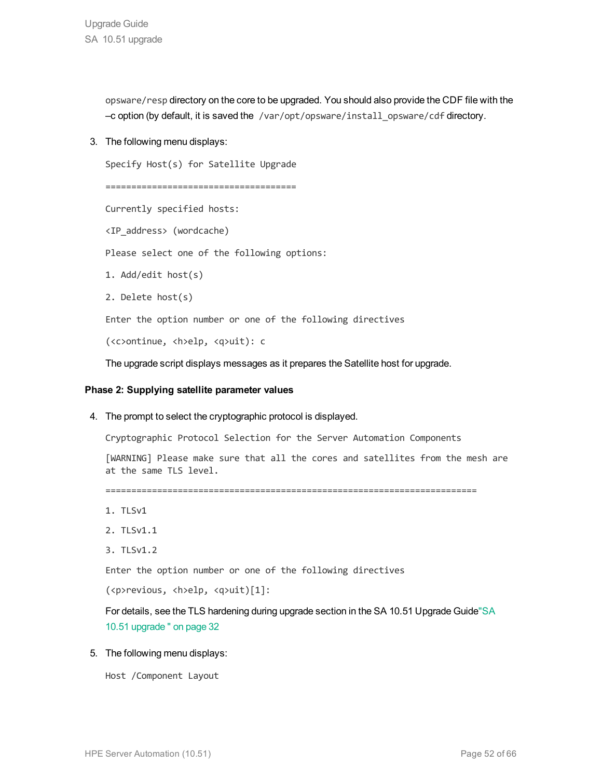opsware/resp directory on the core to be upgraded. You should also provide the CDF file with the –c option (by default, it is saved the /var/opt/opsware/install\_opsware/cdf directory.

3. The following menu displays:

```
Specify Host(s) for Satellite Upgrade
```

```
=====================================
```
Currently specified hosts:

<IP\_address> (wordcache)

Please select one of the following options:

1. Add/edit host(s)

```
2. Delete host(s)
```
Enter the option number or one of the following directives

(<c>ontinue, <h>elp, <q>uit): c

The upgrade script displays messages as it prepares the Satellite host for upgrade.

#### **Phase 2: Supplying satellite parameter values**

4. The prompt to select the cryptographic protocol is displayed.

Cryptographic Protocol Selection for the Server Automation Components

[WARNING] Please make sure that all the cores and satellites from the mesh are at the same TLS level.

========================================================================

- 1. TLSv1
- 2. TLSv1.1
- 3. TLSv1.2

Enter the option number or one of the following directives

```
(<p>revious, <h>elp, <q>uit)[1]:
```
For details, see the TLS hardening during upgrade section in the SA 10.51 Upgrade Guid[e"SA](#page-31-0) 10.51 [upgrade](#page-31-0) " on page 32

5. The following menu displays:

```
Host /Component Layout
```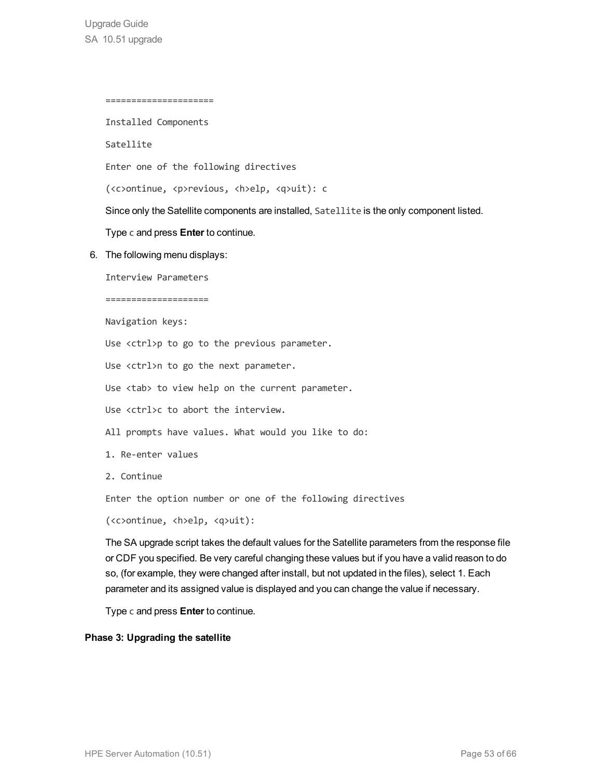=====================

Installed Components

Satellite

Enter one of the following directives

(<c>ontinue, <p>revious, <h>elp, <q>uit): c

Since only the Satellite components are installed, Satellite is the only component listed.

Type c and press **Enter** to continue.

6. The following menu displays:

Interview Parameters

====================

Navigation keys:

Use <ctrl>p to go to the previous parameter.

Use <ctrl>n to go the next parameter.

Use <tab> to view help on the current parameter.

Use <ctrl>c to abort the interview.

All prompts have values. What would you like to do:

- 1. Re-enter values
- 2. Continue

Enter the option number or one of the following directives

(<c>ontinue, <h>elp, <q>uit):

The SA upgrade script takes the default values for the Satellite parameters from the response file or CDF you specified. Be very careful changing these values but if you have a valid reason to do so, (for example, they were changed after install, but not updated in the files), select 1. Each parameter and its assigned value is displayed and you can change the value if necessary.

Type c and press **Enter** to continue.

#### **Phase 3: Upgrading the satellite**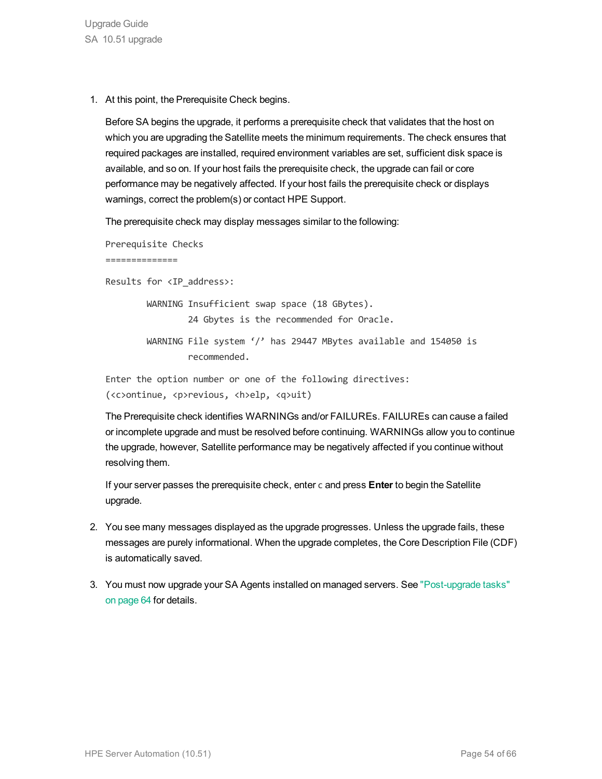1. At this point, the Prerequisite Check begins.

Before SA begins the upgrade, it performs a prerequisite check that validates that the host on which you are upgrading the Satellite meets the minimum requirements. The check ensures that required packages are installed, required environment variables are set, sufficient disk space is available, and so on. If your host fails the prerequisite check, the upgrade can fail or core performance may be negatively affected. If your host fails the prerequisite check or displays warnings, correct the problem(s) or contact HPE Support.

The prerequisite check may display messages similar to the following:

Prerequisite Checks

==============

Results for <IP\_address>:

WARNING Insufficient swap space (18 GBytes). 24 Gbytes is the recommended for Oracle. WARNING File system '/' has 29447 MBytes available and 154050 is recommended.

Enter the option number or one of the following directives: (<c>ontinue, <p>revious, <h>elp, <q>uit)

The Prerequisite check identifies WARNINGs and/or FAILUREs. FAILUREs can cause a failed or incomplete upgrade and must be resolved before continuing. WARNINGs allow you to continue the upgrade, however, Satellite performance may be negatively affected if you continue without resolving them.

If your server passes the prerequisite check, enter c and press **Enter** to begin the Satellite upgrade.

- 2. You see many messages displayed as the upgrade progresses. Unless the upgrade fails, these messages are purely informational. When the upgrade completes, the Core Description File (CDF) is automatically saved.
- 3. You must now upgrade your SA Agents installed on managed servers. See ["Post-upgrade](#page-63-0) tasks" on [page](#page-63-0) 64 for details.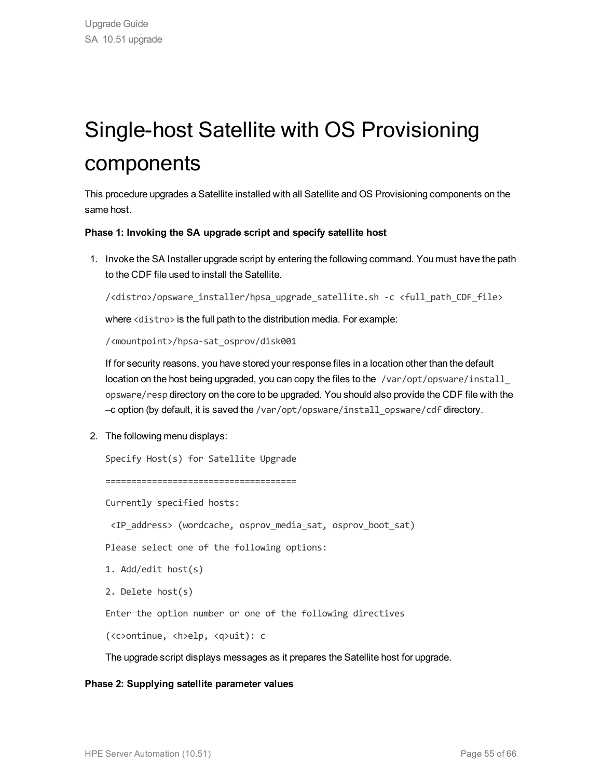## <span id="page-54-0"></span>Single-host Satellite with OS Provisioning components

This procedure upgrades a Satellite installed with all Satellite and OS Provisioning components on the same host.

#### **Phase 1: Invoking the SA upgrade script and specify satellite host**

1. Invoke the SA Installer upgrade script by entering the following command. You must have the path to the CDF file used to install the Satellite.

/<distro>/opsware\_installer/hpsa\_upgrade\_satellite.sh -c <full\_path\_CDF\_file>

where <distro> is the full path to the distribution media. For example:

/<mountpoint>/hpsa-sat\_osprov/disk001

If for security reasons, you have stored your response files in a location other than the default location on the host being upgraded, you can copy the files to the /var/opt/opsware/install opsware/resp directory on the core to be upgraded. You should also provide the CDF file with the –c option (by default, it is saved the /var/opt/opsware/install\_opsware/cdf directory.

2. The following menu displays:

```
Specify Host(s) for Satellite Upgrade
```
=====================================

Currently specified hosts:

<IP\_address> (wordcache, osprov\_media\_sat, osprov\_boot\_sat)

Please select one of the following options:

```
1. Add/edit host(s)
```

```
2. Delete host(s)
```
Enter the option number or one of the following directives

(<c>ontinue, <h>elp, <q>uit): c

The upgrade script displays messages as it prepares the Satellite host for upgrade.

#### **Phase 2: Supplying satellite parameter values**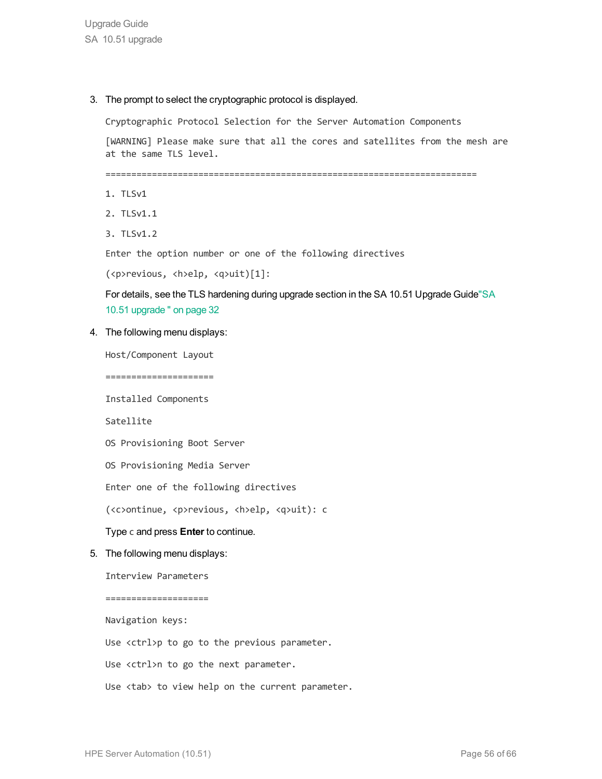Upgrade Guide SA 10.51 upgrade

3. The prompt to select the cryptographic protocol is displayed.

Cryptographic Protocol Selection for the Server Automation Components

[WARNING] Please make sure that all the cores and satellites from the mesh are at the same TLS level.

========================================================================

- 1. TLSv1
- 2. TLSv1.1
- 3. TLSv1.2

Enter the option number or one of the following directives

(<p>revious, <h>elp, <q>uit)[1]:

For details, see the TLS hardening during upgrade section in the SA 10.51 Upgrade Guid[e"SA](#page-31-0) 10.51 [upgrade](#page-31-0) " on page 32

4. The following menu displays:

Host/Component Layout

=====================

Installed Components

Satellite

OS Provisioning Boot Server

OS Provisioning Media Server

Enter one of the following directives

(<c>ontinue, <p>revious, <h>elp, <q>uit): c

#### Type c and press **Enter** to continue.

5. The following menu displays:

Interview Parameters

====================

Navigation keys:

Use <ctrl>p to go to the previous parameter.

Use <ctrl>n to go the next parameter.

Use <tab> to view help on the current parameter.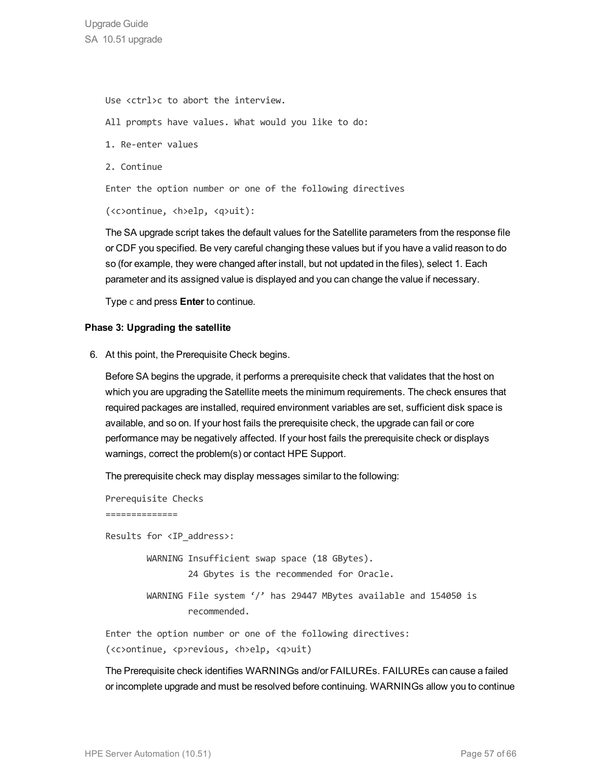Use <ctrl>c to abort the interview. All prompts have values. What would you like to do: 1. Re-enter values 2. Continue Enter the option number or one of the following directives (<c>ontinue, <h>elp, <q>uit):

The SA upgrade script takes the default values for the Satellite parameters from the response file or CDF you specified. Be very careful changing these values but if you have a valid reason to do so (for example, they were changed after install, but not updated in the files), select 1. Each parameter and its assigned value is displayed and you can change the value if necessary.

Type c and press **Enter** to continue.

#### **Phase 3: Upgrading the satellite**

6. At this point, the Prerequisite Check begins.

Before SA begins the upgrade, it performs a prerequisite check that validates that the host on which you are upgrading the Satellite meets the minimum requirements. The check ensures that required packages are installed, required environment variables are set, sufficient disk space is available, and so on. If your host fails the prerequisite check, the upgrade can fail or core performance may be negatively affected. If your host fails the prerequisite check or displays warnings, correct the problem(s) or contact HPE Support.

The prerequisite check may display messages similar to the following:

```
Prerequisite Checks
==============
Results for <IP_address>:
         WARNING Insufficient swap space (18 GBytes).
                                  24 Gbytes is the recommended for Oracle.
                 WARNING File system '/' has 29447 MBytes available and 154050 is
                                  recommended.
Enter the option number or one of the following directives:
```
(<c>ontinue, <p>revious, <h>elp, <q>uit)

The Prerequisite check identifies WARNINGs and/or FAILUREs. FAILUREs can cause a failed or incomplete upgrade and must be resolved before continuing. WARNINGs allow you to continue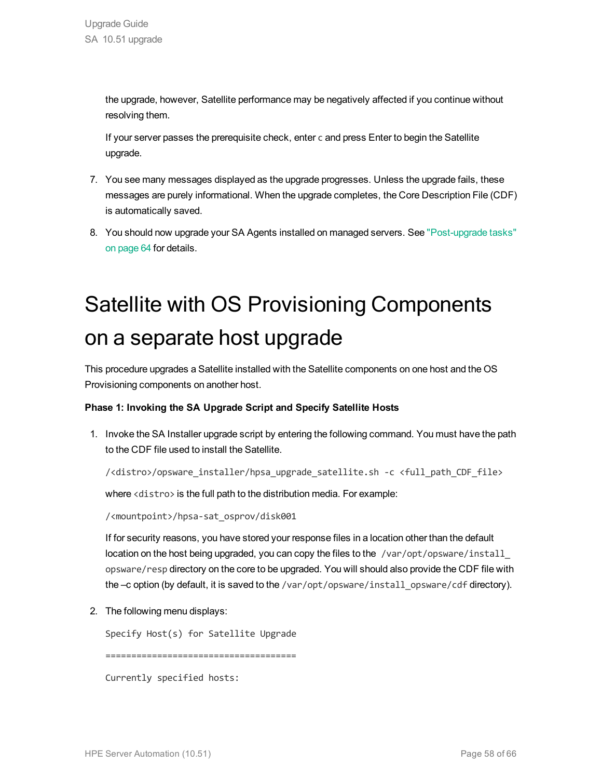the upgrade, however, Satellite performance may be negatively affected if you continue without resolving them.

If your server passes the prerequisite check, enter c and press Enter to begin the Satellite upgrade.

- 7. You see many messages displayed as the upgrade progresses. Unless the upgrade fails, these messages are purely informational. When the upgrade completes, the Core Description File (CDF) is automatically saved.
- <span id="page-57-0"></span>8. You should now upgrade your SA Agents installed on managed servers. See ["Post-upgrade](#page-63-0) tasks" on [page](#page-63-0) 64 for details.

## Satellite with OS Provisioning Components on a separate host upgrade

This procedure upgrades a Satellite installed with the Satellite components on one host and the OS Provisioning components on another host.

#### **Phase 1: Invoking the SA Upgrade Script and Specify Satellite Hosts**

1. Invoke the SA Installer upgrade script by entering the following command. You must have the path to the CDF file used to install the Satellite.

/<distro>/opsware\_installer/hpsa\_upgrade\_satellite.sh -c <full\_path\_CDF\_file>

where <distro> is the full path to the distribution media. For example:

/<mountpoint>/hpsa-sat\_osprov/disk001

If for security reasons, you have stored your response files in a location other than the default location on the host being upgraded, you can copy the files to the /var/opt/opsware/install opsware/resp directory on the core to be upgraded. You will should also provide the CDF file with the -c option (by default, it is saved to the /var/opt/opsware/install\_opsware/cdf directory).

2. The following menu displays:

Specify Host(s) for Satellite Upgrade

=====================================

Currently specified hosts: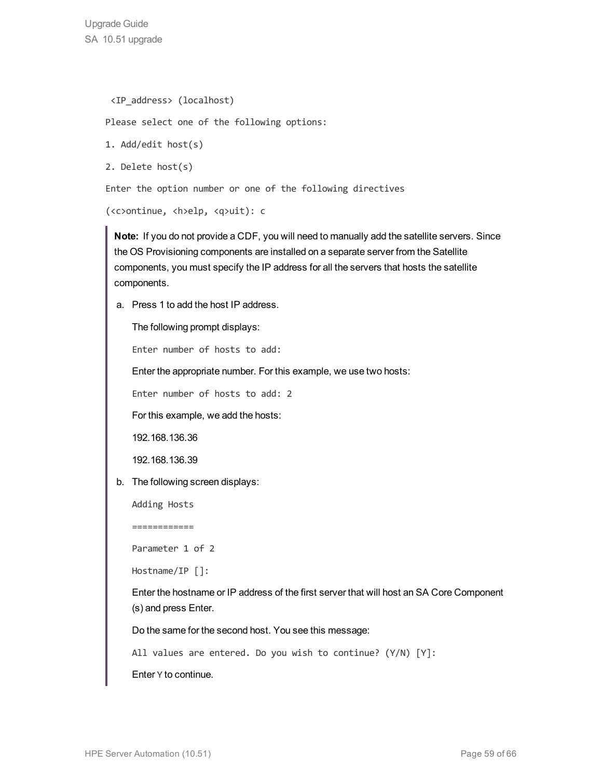Upgrade Guide SA 10.51 upgrade

```
<IP_address> (localhost)
```
Please select one of the following options:

```
1. Add/edit host(s)
```
2. Delete host(s)

Enter the option number or one of the following directives

```
(<c>ontinue, <h>elp, <q>uit): c
```
**Note:** If you do not provide a CDF, you will need to manually add the satellite servers. Since the OS Provisioning components are installed on a separate server from the Satellite components, you must specify the IP address for all the servers that hosts the satellite components.

a. Press 1 to add the host IP address.

The following prompt displays:

Enter number of hosts to add:

Enter the appropriate number. For this example, we use two hosts:

Enter number of hosts to add: 2

For this example, we add the hosts:

192.168.136.36

192.168.136.39

b. The following screen displays:

Adding Hosts

============

Parameter 1 of 2

Hostname/IP []:

Enter the hostname or IP address of the first server that will host an SA Core Component (s) and press Enter.

Do the same for the second host. You see this message:

All values are entered. Do you wish to continue? (Y/N) [Y]:

Enter Y to continue.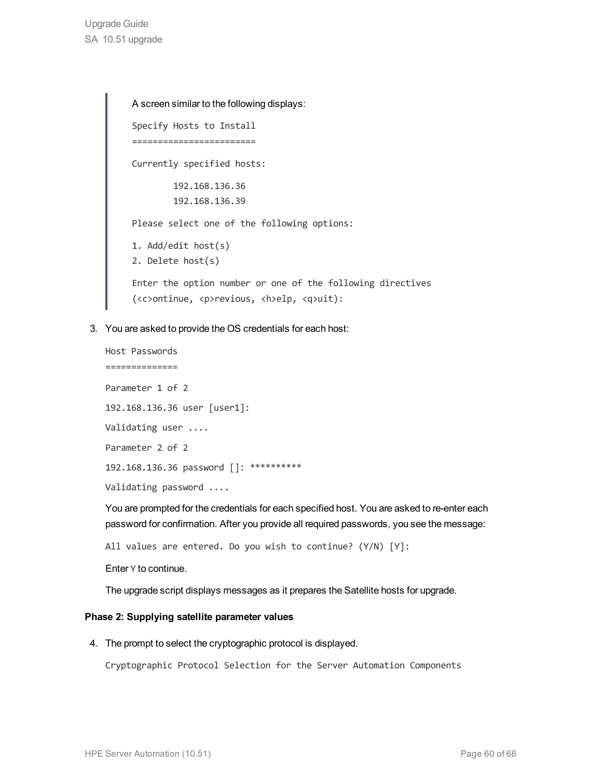A screen similar to the following displays: Specify Hosts to Install ======================== Currently specified hosts: 192.168.136.36 192.168.136.39 Please select one of the following options: 1. Add/edit host(s) 2. Delete host(s) Enter the option number or one of the following directives (<c>ontinue, <p>revious, <h>elp, <q>uit):

3. You are asked to provide the OS credentials for each host:

```
Host Passwords
==============
Parameter 1 of 2
192.168.136.36 user [user1]:
Validating user ....
Parameter 2 of 2
192.168.136.36 password []: **********
Validating password ....
```
You are prompted for the credentials for each specified host. You are asked to re-enter each password for confirmation. After you provide all required passwords, you see the message:

All values are entered. Do you wish to continue? (Y/N) [Y]:

Enter Y to continue.

The upgrade script displays messages as it prepares the Satellite hosts for upgrade.

#### **Phase 2: Supplying satellite parameter values**

4. The prompt to select the cryptographic protocol is displayed.

Cryptographic Protocol Selection for the Server Automation Components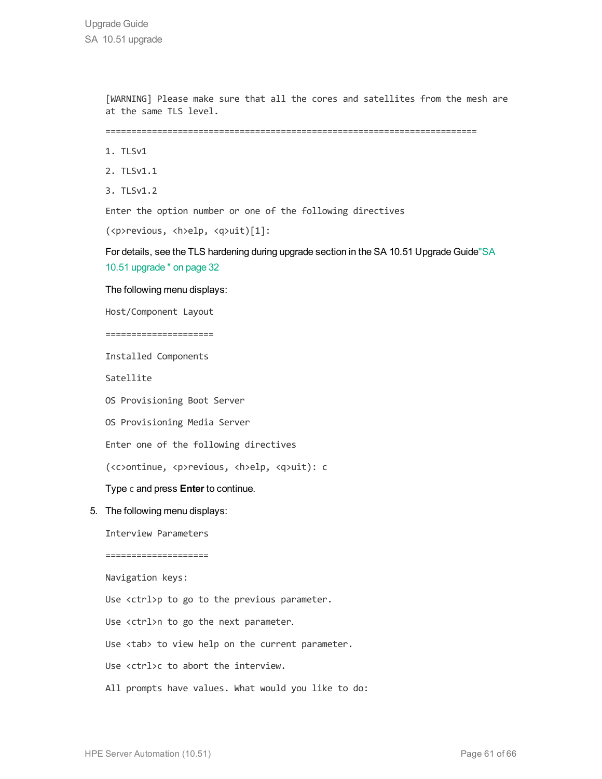[WARNING] Please make sure that all the cores and satellites from the mesh are at the same TLS level.

========================================================================

- 1. TLSv1
- 2. TLSv1.1
- 3. TLSv1.2

Enter the option number or one of the following directives

(<p>revious, <h>elp, <q>uit)[1]:

For details, see the TLS hardening during upgrade section in the SA 10.51 Upgrade Guid[e"SA](#page-31-0) 10.51 [upgrade](#page-31-0) " on page 32

The following menu displays:

Host/Component Layout

=====================

Installed Components

Satellite

OS Provisioning Boot Server

OS Provisioning Media Server

Enter one of the following directives

(<c>ontinue, <p>revious, <h>elp, <q>uit): c

Type c and press **Enter** to continue.

5. The following menu displays:

Interview Parameters

====================

Navigation keys:

Use <ctrl>p to go to the previous parameter.

Use <ctrl>n to go the next parameter.

Use <tab> to view help on the current parameter.

Use <ctrl>c to abort the interview.

All prompts have values. What would you like to do: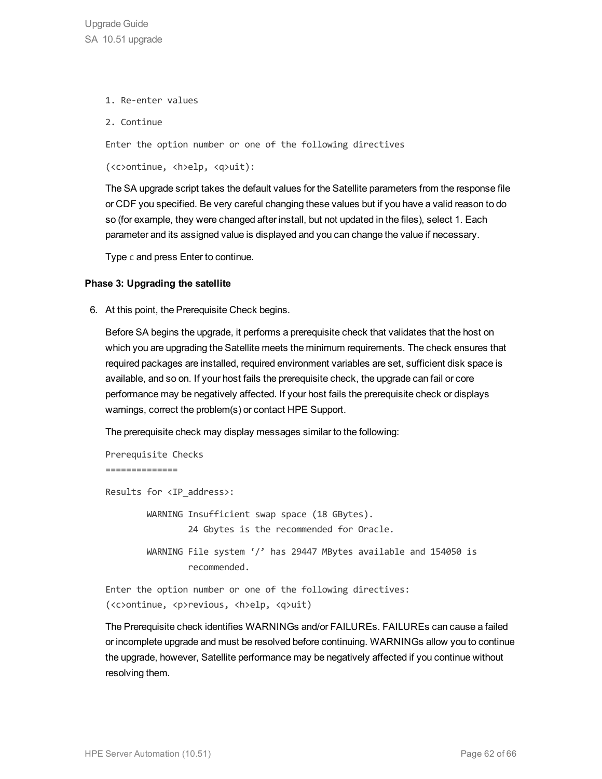- 1. Re-enter values
- 2. Continue

Enter the option number or one of the following directives

(<c>ontinue, <h>elp, <q>uit):

The SA upgrade script takes the default values for the Satellite parameters from the response file or CDF you specified. Be very careful changing these values but if you have a valid reason to do so (for example, they were changed after install, but not updated in the files), select 1. Each parameter and its assigned value is displayed and you can change the value if necessary.

Type c and press Enter to continue.

#### **Phase 3: Upgrading the satellite**

6. At this point, the Prerequisite Check begins.

Before SA begins the upgrade, it performs a prerequisite check that validates that the host on which you are upgrading the Satellite meets the minimum requirements. The check ensures that required packages are installed, required environment variables are set, sufficient disk space is available, and so on. If your host fails the prerequisite check, the upgrade can fail or core performance may be negatively affected. If your host fails the prerequisite check or displays warnings, correct the problem(s) or contact HPE Support.

The prerequisite check may display messages similar to the following:

```
Prerequisite Checks
==============
Results for <IP_address>:
         WARNING Insufficient swap space (18 GBytes).
                                  24 Gbytes is the recommended for Oracle.
                 WARNING File system '/' has 29447 MBytes available and 154050 is
                                  recommended.
Enter the option number or one of the following directives:
```
(<c>ontinue, <p>revious, <h>elp, <q>uit)

The Prerequisite check identifies WARNINGs and/or FAILUREs. FAILUREs can cause a failed or incomplete upgrade and must be resolved before continuing. WARNINGs allow you to continue the upgrade, however, Satellite performance may be negatively affected if you continue without resolving them.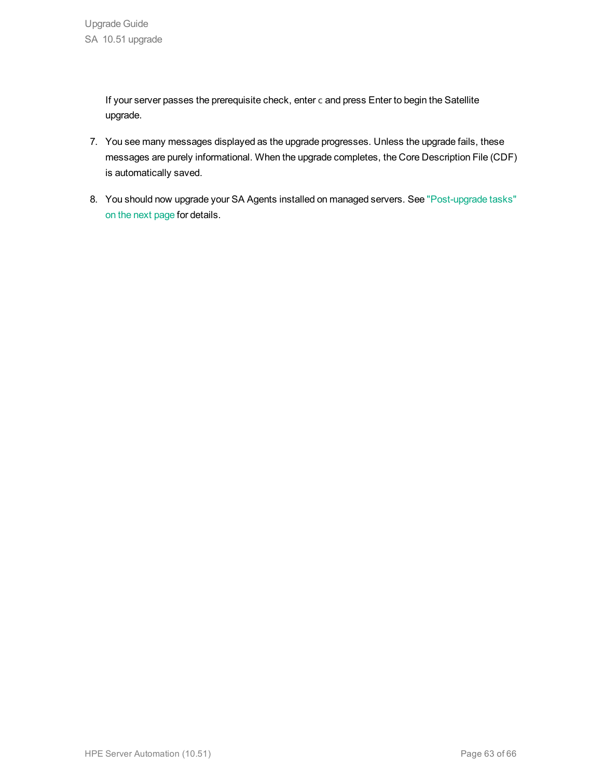If your server passes the prerequisite check, enter c and press Enter to begin the Satellite upgrade.

- 7. You see many messages displayed as the upgrade progresses. Unless the upgrade fails, these messages are purely informational. When the upgrade completes, the Core Description File (CDF) is automatically saved.
- 8. You should now upgrade your SA Agents installed on managed servers. See ["Post-upgrade](#page-63-0) tasks" on the next [page](#page-63-0) for details.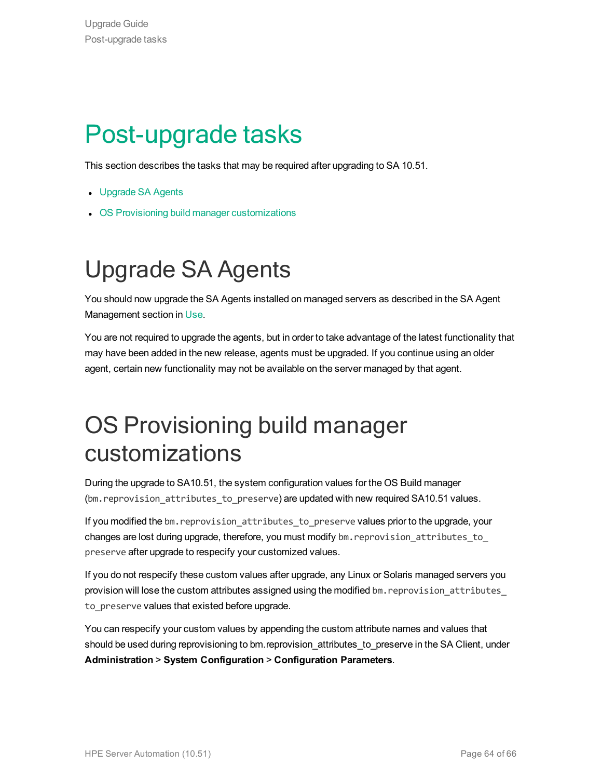## <span id="page-63-0"></span>Post-upgrade tasks

This section describes the tasks that may be required after upgrading to SA 10.51.

- [Upgrade](#page-63-1) SA Agents
- <span id="page-63-1"></span>• OS Provisioning build manager [customizations](#page-63-2)

## Upgrade SA Agents

You should now upgrade the SA Agents installed on managed servers as described in the SA Agent Management section in Use.

You are not required to upgrade the agents, but in order to take advantage of the latest functionality that may have been added in the new release, agents must be upgraded. If you continue using an older agent, certain new functionality may not be available on the server managed by that agent.

### <span id="page-63-2"></span>OS Provisioning build manager customizations

During the upgrade to SA10.51, the system configuration values for the OS Build manager (bm. reprovision attributes to preserve) are updated with new required SA10.51 values.

If you modified the bm. reprovision attributes to preserve values prior to the upgrade, your changes are lost during upgrade, therefore, you must modify bm. reprovision attributes to preserve after upgrade to respecify your customized values.

If you do not respecify these custom values after upgrade, any Linux or Solaris managed servers you provision will lose the custom attributes assigned using the modified bm. reprovision attributes to preserve values that existed before upgrade.

You can respecify your custom values by appending the custom attribute names and values that should be used during reprovisioning to bm.reprovision\_attributes\_to\_preserve in the SA Client, under **Administration** > **System Configuration** > **Configuration Parameters**.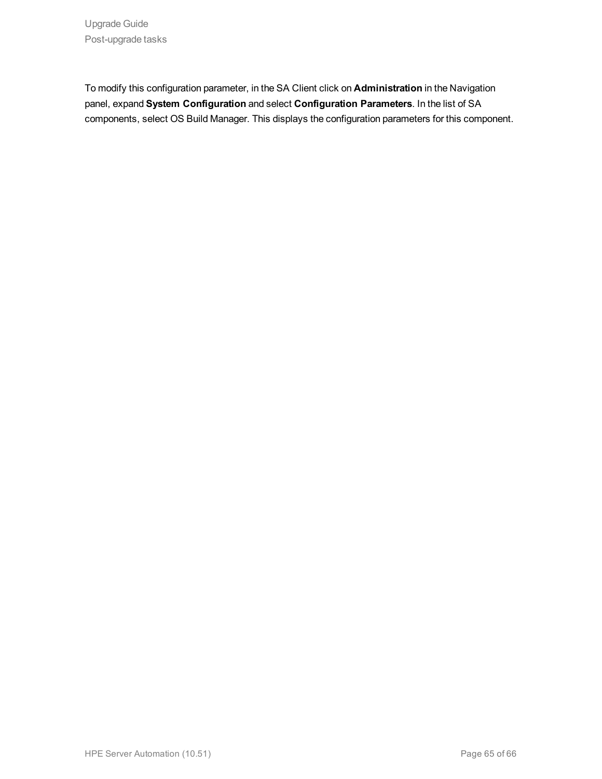To modify this configuration parameter, in the SA Client click on **Administration** in the Navigation panel, expand **System Configuration** and select **Configuration Parameters**. In the list of SA components, select OS Build Manager. This displays the configuration parameters for this component.